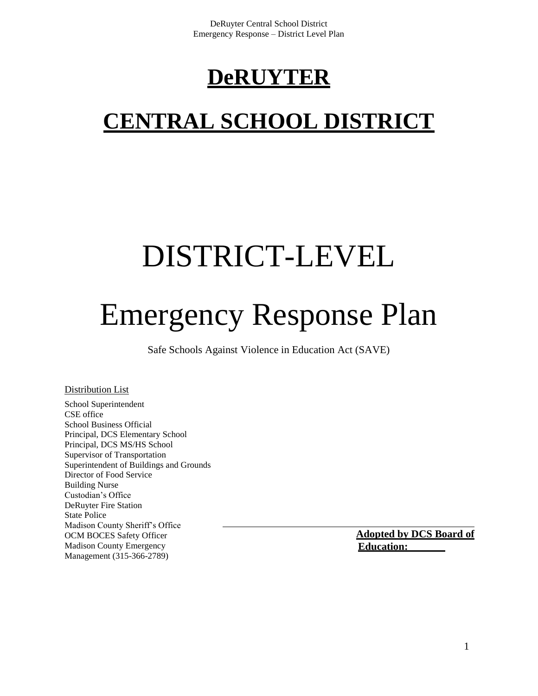# **DeRUYTER**

# **CENTRAL SCHOOL DISTRICT**

# DISTRICT-LEVEL

# Emergency Response Plan

Safe Schools Against Violence in Education Act (SAVE)

#### **Distribution List**

School Superintendent CSE office School Business Official Principal, DCS Elementary School Principal, DCS MS/HS School Supervisor of Transportation Superintendent of Buildings and Grounds Director of Food Service Building Nurse Custodian's Office DeRuyter Fire Station State Police Madison County Sheriff's Office OCM BOCES Safety Officer Madison County Emergency Management (315-366-2789)

**Adopted by DCS Board of Education:**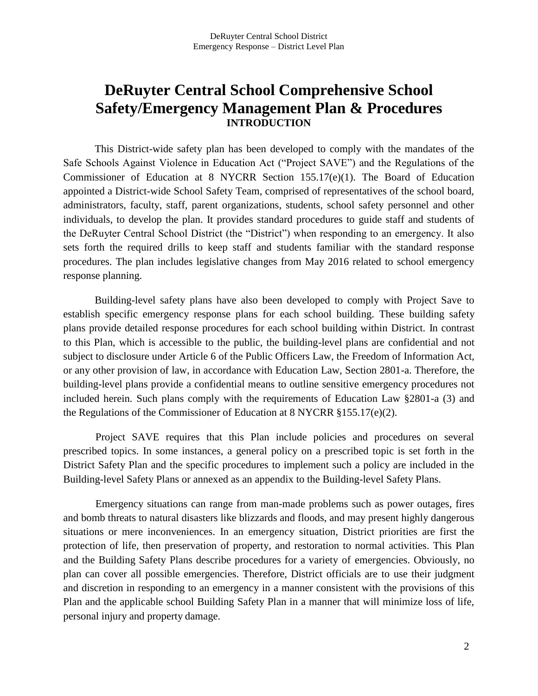## **DeRuyter Central School Comprehensive School Safety/Emergency Management Plan & Procedures INTRODUCTION**

This District-wide safety plan has been developed to comply with the mandates of the Safe Schools Against Violence in Education Act ("Project SAVE") and the Regulations of the Commissioner of Education at 8 NYCRR Section 155.17(e)(1). The Board of Education appointed a District-wide School Safety Team, comprised of representatives of the school board, administrators, faculty, staff, parent organizations, students, school safety personnel and other individuals, to develop the plan. It provides standard procedures to guide staff and students of the DeRuyter Central School District (the "District") when responding to an emergency. It also sets forth the required drills to keep staff and students familiar with the standard response procedures. The plan includes legislative changes from May 2016 related to school emergency response planning.

Building-level safety plans have also been developed to comply with Project Save to establish specific emergency response plans for each school building. These building safety plans provide detailed response procedures for each school building within District. In contrast to this Plan, which is accessible to the public, the building-level plans are confidential and not subject to disclosure under Article 6 of the Public Officers Law, the Freedom of Information Act, or any other provision of law, in accordance with Education Law, Section 2801-a. Therefore, the building-level plans provide a confidential means to outline sensitive emergency procedures not included herein. Such plans comply with the requirements of Education Law §2801-a (3) and the Regulations of the Commissioner of Education at 8 NYCRR §155.17(e)(2).

Project SAVE requires that this Plan include policies and procedures on several prescribed topics. In some instances, a general policy on a prescribed topic is set forth in the District Safety Plan and the specific procedures to implement such a policy are included in the Building-level Safety Plans or annexed as an appendix to the Building-level Safety Plans.

Emergency situations can range from man-made problems such as power outages, fires and bomb threats to natural disasters like blizzards and floods, and may present highly dangerous situations or mere inconveniences. In an emergency situation, District priorities are first the protection of life, then preservation of property, and restoration to normal activities. This Plan and the Building Safety Plans describe procedures for a variety of emergencies. Obviously, no plan can cover all possible emergencies. Therefore, District officials are to use their judgment and discretion in responding to an emergency in a manner consistent with the provisions of this Plan and the applicable school Building Safety Plan in a manner that will minimize loss of life, personal injury and property damage.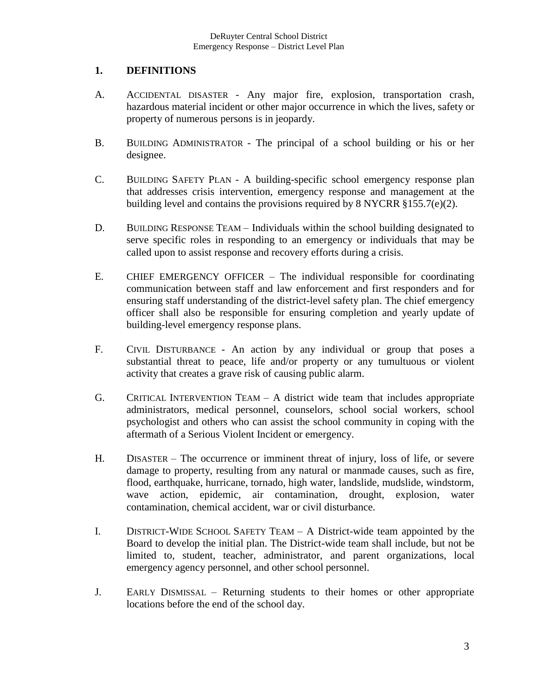### **1. DEFINITIONS**

- A. ACCIDENTAL DISASTER Any major fire, explosion, transportation crash, hazardous material incident or other major occurrence in which the lives, safety or property of numerous persons is in jeopardy.
- B. BUILDING ADMINISTRATOR The principal of a school building or his or her designee.
- C. BUILDING SAFETY PLAN A building-specific school emergency response plan that addresses crisis intervention, emergency response and management at the building level and contains the provisions required by 8 NYCRR §155.7(e)(2).
- D. BUILDING RESPONSE TEAM Individuals within the school building designated to serve specific roles in responding to an emergency or individuals that may be called upon to assist response and recovery efforts during a crisis.
- E. CHIEF EMERGENCY OFFICER The individual responsible for coordinating communication between staff and law enforcement and first responders and for ensuring staff understanding of the district-level safety plan. The chief emergency officer shall also be responsible for ensuring completion and yearly update of building-level emergency response plans.
- F. CIVIL DISTURBANCE An action by any individual or group that poses a substantial threat to peace, life and/or property or any tumultuous or violent activity that creates a grave risk of causing public alarm.
- G. CRITICAL INTERVENTION TEAM A district wide team that includes appropriate administrators, medical personnel, counselors, school social workers, school psychologist and others who can assist the school community in coping with the aftermath of a Serious Violent Incident or emergency.
- H. DISASTER The occurrence or imminent threat of injury, loss of life, or severe damage to property, resulting from any natural or manmade causes, such as fire, flood, earthquake, hurricane, tornado, high water, landslide, mudslide, windstorm, wave action, epidemic, air contamination, drought, explosion, water contamination, chemical accident, war or civil disturbance.
- I. DISTRICT-WIDE SCHOOL SAFETY TEAM A District-wide team appointed by the Board to develop the initial plan. The District-wide team shall include, but not be limited to, student, teacher, administrator, and parent organizations, local emergency agency personnel, and other school personnel.
- J. EARLY DISMISSAL Returning students to their homes or other appropriate locations before the end of the school day.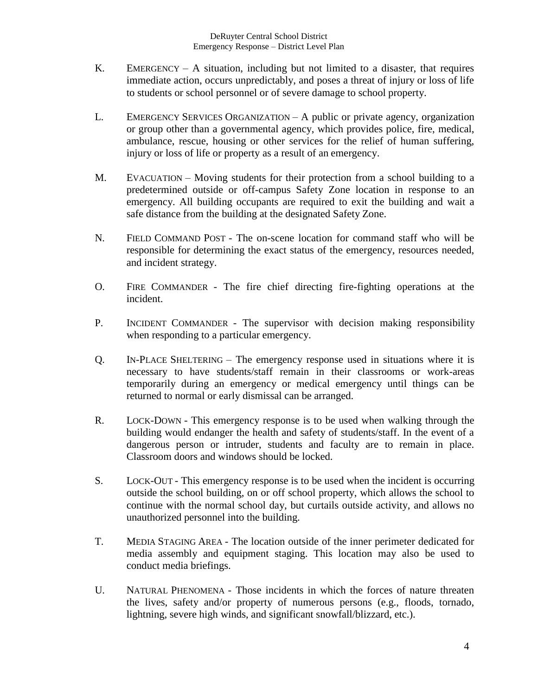- K. EMERGENCY A situation, including but not limited to a disaster, that requires immediate action, occurs unpredictably, and poses a threat of injury or loss of life to students or school personnel or of severe damage to school property.
- L. EMERGENCY SERVICES ORGANIZATION A public or private agency, organization or group other than a governmental agency, which provides police, fire, medical, ambulance, rescue, housing or other services for the relief of human suffering, injury or loss of life or property as a result of an emergency.
- M. EVACUATION Moving students for their protection from a school building to a predetermined outside or off-campus Safety Zone location in response to an emergency. All building occupants are required to exit the building and wait a safe distance from the building at the designated Safety Zone.
- N. FIELD COMMAND POST The on-scene location for command staff who will be responsible for determining the exact status of the emergency, resources needed, and incident strategy.
- O. FIRE COMMANDER The fire chief directing fire-fighting operations at the incident.
- P. INCIDENT COMMANDER The supervisor with decision making responsibility when responding to a particular emergency.
- Q. IN-PLACE SHELTERING The emergency response used in situations where it is necessary to have students/staff remain in their classrooms or work-areas temporarily during an emergency or medical emergency until things can be returned to normal or early dismissal can be arranged.
- R. LOCK-DOWN This emergency response is to be used when walking through the building would endanger the health and safety of students/staff. In the event of a dangerous person or intruder, students and faculty are to remain in place. Classroom doors and windows should be locked.
- S. LOCK-OUT This emergency response is to be used when the incident is occurring outside the school building, on or off school property, which allows the school to continue with the normal school day, but curtails outside activity, and allows no unauthorized personnel into the building.
- T. MEDIA STAGING AREA The location outside of the inner perimeter dedicated for media assembly and equipment staging. This location may also be used to conduct media briefings.
- U. NATURAL PHENOMENA Those incidents in which the forces of nature threaten the lives, safety and/or property of numerous persons (e.g., floods, tornado, lightning, severe high winds, and significant snowfall/blizzard, etc.).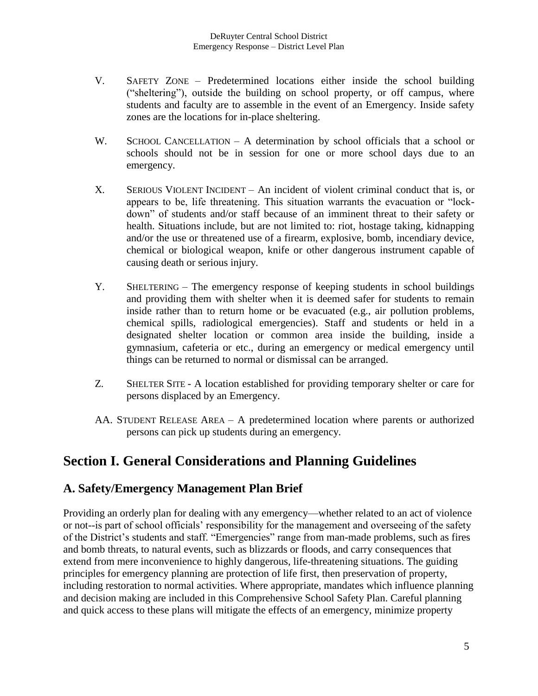- V. SAFETY ZONE Predetermined locations either inside the school building ("sheltering"), outside the building on school property, or off campus, where students and faculty are to assemble in the event of an Emergency. Inside safety zones are the locations for in-place sheltering.
- W. SCHOOL CANCELLATION A determination by school officials that a school or schools should not be in session for one or more school days due to an emergency.
- X. SERIOUS VIOLENT INCIDENT An incident of violent criminal conduct that is, or appears to be, life threatening. This situation warrants the evacuation or "lockdown" of students and/or staff because of an imminent threat to their safety or health. Situations include, but are not limited to: riot, hostage taking, kidnapping and/or the use or threatened use of a firearm, explosive, bomb, incendiary device, chemical or biological weapon, knife or other dangerous instrument capable of causing death or serious injury.
- Y. SHELTERING The emergency response of keeping students in school buildings and providing them with shelter when it is deemed safer for students to remain inside rather than to return home or be evacuated (e.g., air pollution problems, chemical spills, radiological emergencies). Staff and students or held in a designated shelter location or common area inside the building, inside a gymnasium, cafeteria or etc., during an emergency or medical emergency until things can be returned to normal or dismissal can be arranged.
- Z. SHELTER SITE A location established for providing temporary shelter or care for persons displaced by an Emergency.
- AA. STUDENT RELEASE AREA A predetermined location where parents or authorized persons can pick up students during an emergency.

## **Section I. General Considerations and Planning Guidelines**

## **A. Safety/Emergency Management Plan Brief**

Providing an orderly plan for dealing with any emergency—whether related to an act of violence or not--is part of school officials' responsibility for the management and overseeing of the safety of the District's students and staff. "Emergencies" range from man-made problems, such as fires and bomb threats, to natural events, such as blizzards or floods, and carry consequences that extend from mere inconvenience to highly dangerous, life-threatening situations. The guiding principles for emergency planning are protection of life first, then preservation of property, including restoration to normal activities. Where appropriate, mandates which influence planning and decision making are included in this Comprehensive School Safety Plan. Careful planning and quick access to these plans will mitigate the effects of an emergency, minimize property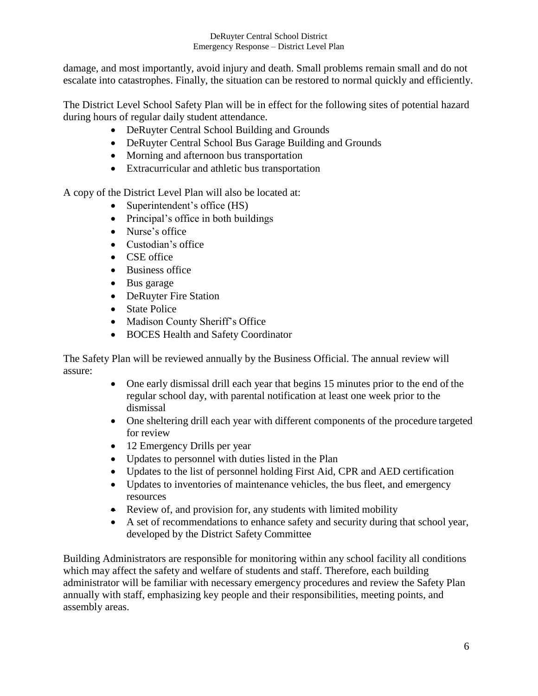damage, and most importantly, avoid injury and death. Small problems remain small and do not escalate into catastrophes. Finally, the situation can be restored to normal quickly and efficiently.

The District Level School Safety Plan will be in effect for the following sites of potential hazard during hours of regular daily student attendance.

- DeRuyter Central School Building and Grounds
- DeRuyter Central School Bus Garage Building and Grounds
- Morning and afternoon bus transportation
- Extracurricular and athletic bus transportation

A copy of the District Level Plan will also be located at:

- Superintendent's office (HS)
- Principal's office in both buildings
- Nurse's office
- Custodian's office
- CSE office
- Business office
- Bus garage
- DeRuyter Fire Station
- State Police
- Madison County Sheriff's Office
- BOCES Health and Safety Coordinator

The Safety Plan will be reviewed annually by the Business Official. The annual review will assure:

- One early dismissal drill each year that begins 15 minutes prior to the end of the regular school day, with parental notification at least one week prior to the dismissal
- One sheltering drill each year with different components of the procedure targeted for review
- 12 Emergency Drills per year
- Updates to personnel with duties listed in the Plan
- Updates to the list of personnel holding First Aid, CPR and AED certification
- Updates to inventories of maintenance vehicles, the bus fleet, and emergency resources
- Review of, and provision for, any students with limited mobility
- A set of recommendations to enhance safety and security during that school year, developed by the District Safety Committee

Building Administrators are responsible for monitoring within any school facility all conditions which may affect the safety and welfare of students and staff. Therefore, each building administrator will be familiar with necessary emergency procedures and review the Safety Plan annually with staff, emphasizing key people and their responsibilities, meeting points, and assembly areas.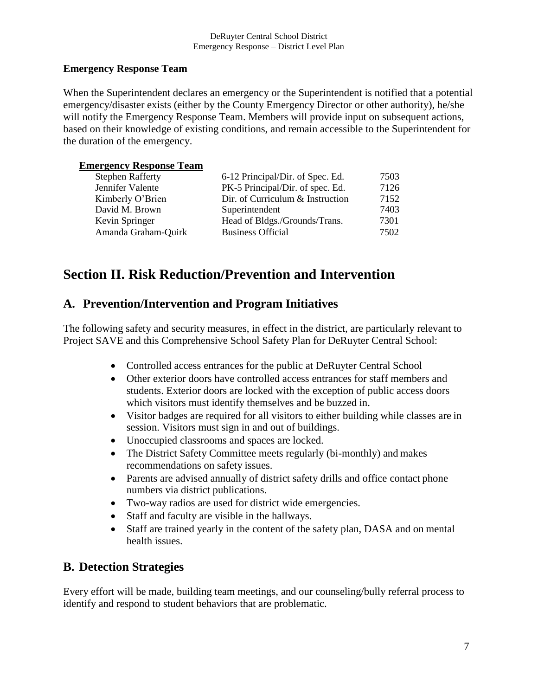#### **Emergency Response Team**

When the Superintendent declares an emergency or the Superintendent is notified that a potential emergency/disaster exists (either by the County Emergency Director or other authority), he/she will notify the Emergency Response Team. Members will provide input on subsequent actions, based on their knowledge of existing conditions, and remain accessible to the Superintendent for the duration of the emergency.

| 6-12 Principal/Dir. of Spec. Ed. | 7503 |
|----------------------------------|------|
| PK-5 Principal/Dir. of spec. Ed. | 7126 |
| Dir. of Curriculum & Instruction | 7152 |
| Superintendent                   | 7403 |
| Head of Bldgs./Grounds/Trans.    | 7301 |
| <b>Business Official</b>         | 7502 |
|                                  |      |

## **Section II. Risk Reduction/Prevention and Intervention**

## **A. Prevention/Intervention and Program Initiatives**

The following safety and security measures, in effect in the district, are particularly relevant to Project SAVE and this Comprehensive School Safety Plan for DeRuyter Central School:

- Controlled access entrances for the public at DeRuyter Central School
- Other exterior doors have controlled access entrances for staff members and students. Exterior doors are locked with the exception of public access doors which visitors must identify themselves and be buzzed in.
- Visitor badges are required for all visitors to either building while classes are in session. Visitors must sign in and out of buildings.
- Unoccupied classrooms and spaces are locked.
- The District Safety Committee meets regularly (bi-monthly) and makes recommendations on safety issues.
- Parents are advised annually of district safety drills and office contact phone numbers via district publications.
- Two-way radios are used for district wide emergencies.
- Staff and faculty are visible in the hallways.
- Staff are trained yearly in the content of the safety plan, DASA and on mental health issues.

## **B. Detection Strategies**

Every effort will be made, building team meetings, and our counseling/bully referral process to identify and respond to student behaviors that are problematic.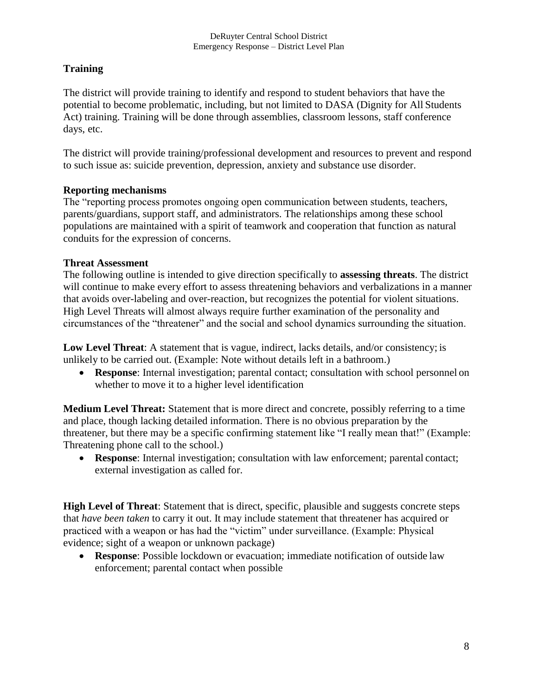## **Training**

The district will provide training to identify and respond to student behaviors that have the potential to become problematic, including, but not limited to DASA (Dignity for All Students Act) training. Training will be done through assemblies, classroom lessons, staff conference days, etc.

The district will provide training/professional development and resources to prevent and respond to such issue as: suicide prevention, depression, anxiety and substance use disorder.

## **Reporting mechanisms**

The "reporting process promotes ongoing open communication between students, teachers, parents/guardians, support staff, and administrators. The relationships among these school populations are maintained with a spirit of teamwork and cooperation that function as natural conduits for the expression of concerns.

### **Threat Assessment**

The following outline is intended to give direction specifically to **assessing threats**. The district will continue to make every effort to assess threatening behaviors and verbalizations in a manner that avoids over-labeling and over-reaction, but recognizes the potential for violent situations. High Level Threats will almost always require further examination of the personality and circumstances of the "threatener" and the social and school dynamics surrounding the situation.

**Low Level Threat**: A statement that is vague, indirect, lacks details, and/or consistency; is unlikely to be carried out. (Example: Note without details left in a bathroom.)

 **Response**: Internal investigation; parental contact; consultation with school personnel on whether to move it to a higher level identification

**Medium Level Threat:** Statement that is more direct and concrete, possibly referring to a time and place, though lacking detailed information. There is no obvious preparation by the threatener, but there may be a specific confirming statement like "I really mean that!" (Example: Threatening phone call to the school.)

 **Response**: Internal investigation; consultation with law enforcement; parental contact; external investigation as called for.

**High Level of Threat**: Statement that is direct, specific, plausible and suggests concrete steps that *have been taken* to carry it out. It may include statement that threatener has acquired or practiced with a weapon or has had the "victim" under surveillance. (Example: Physical evidence; sight of a weapon or unknown package)

 **Response**: Possible lockdown or evacuation; immediate notification of outside law enforcement; parental contact when possible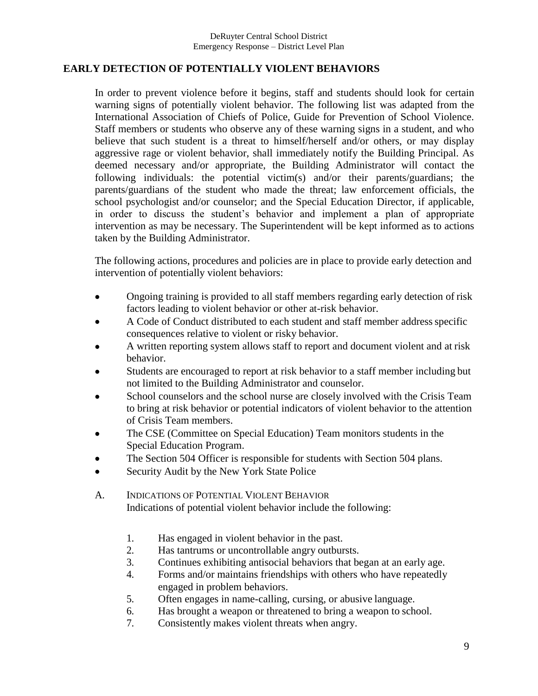#### **EARLY DETECTION OF POTENTIALLY VIOLENT BEHAVIORS**

In order to prevent violence before it begins, staff and students should look for certain warning signs of potentially violent behavior. The following list was adapted from the International Association of Chiefs of Police, Guide for Prevention of School Violence. Staff members or students who observe any of these warning signs in a student, and who believe that such student is a threat to himself/herself and/or others, or may display aggressive rage or violent behavior, shall immediately notify the Building Principal. As deemed necessary and/or appropriate, the Building Administrator will contact the following individuals: the potential victim(s) and/or their parents/guardians; the parents/guardians of the student who made the threat; law enforcement officials, the school psychologist and/or counselor; and the Special Education Director, if applicable, in order to discuss the student's behavior and implement a plan of appropriate intervention as may be necessary. The Superintendent will be kept informed as to actions taken by the Building Administrator.

The following actions, procedures and policies are in place to provide early detection and intervention of potentially violent behaviors:

- Ongoing training is provided to all staff members regarding early detection of risk factors leading to violent behavior or other at-risk behavior.
- A Code of Conduct distributed to each student and staff member addressspecific consequences relative to violent or risky behavior.
- A written reporting system allows staff to report and document violent and at risk behavior.
- Students are encouraged to report at risk behavior to a staff member including but not limited to the Building Administrator and counselor.
- School counselors and the school nurse are closely involved with the Crisis Team to bring at risk behavior or potential indicators of violent behavior to the attention of Crisis Team members.
- The CSE (Committee on Special Education) Team monitors students in the Special Education Program.
- The Section 504 Officer is responsible for students with Section 504 plans.
- Security Audit by the New York State Police
- A. INDICATIONS OF POTENTIAL VIOLENT BEHAVIOR Indications of potential violent behavior include the following:
	- 1. Has engaged in violent behavior in the past.
	- 2. Has tantrums or uncontrollable angry outbursts.
	- 3. Continues exhibiting antisocial behaviors that began at an early age.
	- 4. Forms and/or maintains friendships with others who have repeatedly engaged in problem behaviors.
	- 5. Often engages in name-calling, cursing, or abusive language.
	- 6. Has brought a weapon or threatened to bring a weapon to school.
	- 7. Consistently makes violent threats when angry.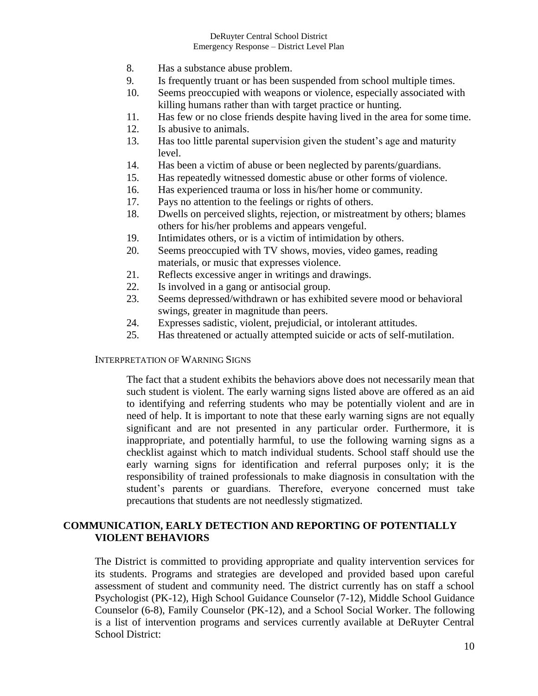- 8. Has a substance abuse problem.
- 9. Is frequently truant or has been suspended from school multiple times.
- 10. Seems preoccupied with weapons or violence, especially associated with killing humans rather than with target practice or hunting.
- 11. Has few or no close friends despite having lived in the area for some time.
- 12. Is abusive to animals.
- 13. Has too little parental supervision given the student's age and maturity level.
- 14. Has been a victim of abuse or been neglected by parents/guardians.
- 15. Has repeatedly witnessed domestic abuse or other forms of violence.
- 16. Has experienced trauma or loss in his/her home or community.
- 17. Pays no attention to the feelings or rights of others.
- 18. Dwells on perceived slights, rejection, or mistreatment by others; blames others for his/her problems and appears vengeful.
- 19. Intimidates others, or is a victim of intimidation by others.
- 20. Seems preoccupied with TV shows, movies, video games, reading materials, or music that expresses violence.
- 21. Reflects excessive anger in writings and drawings.
- 22. Is involved in a gang or antisocial group.
- 23. Seems depressed/withdrawn or has exhibited severe mood or behavioral swings, greater in magnitude than peers.
- 24. Expresses sadistic, violent, prejudicial, or intolerant attitudes.
- 25. Has threatened or actually attempted suicide or acts of self-mutilation.

#### INTERPRETATION OF WARNING SIGNS

The fact that a student exhibits the behaviors above does not necessarily mean that such student is violent. The early warning signs listed above are offered as an aid to identifying and referring students who may be potentially violent and are in need of help. It is important to note that these early warning signs are not equally significant and are not presented in any particular order. Furthermore, it is inappropriate, and potentially harmful, to use the following warning signs as a checklist against which to match individual students. School staff should use the early warning signs for identification and referral purposes only; it is the responsibility of trained professionals to make diagnosis in consultation with the student's parents or guardians. Therefore, everyone concerned must take precautions that students are not needlessly stigmatized.

#### **COMMUNICATION, EARLY DETECTION AND REPORTING OF POTENTIALLY VIOLENT BEHAVIORS**

The District is committed to providing appropriate and quality intervention services for its students. Programs and strategies are developed and provided based upon careful assessment of student and community need. The district currently has on staff a school Psychologist (PK-12), High School Guidance Counselor (7-12), Middle School Guidance Counselor (6-8), Family Counselor (PK-12), and a School Social Worker. The following is a list of intervention programs and services currently available at DeRuyter Central School District: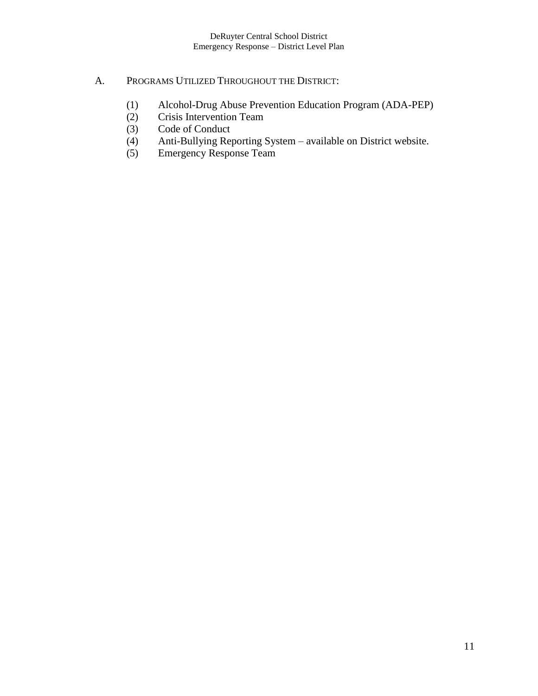## A. PROGRAMS UTILIZED THROUGHOUT THE DISTRICT:

- (1) Alcohol-Drug Abuse Prevention Education Program (ADA-PEP)
- (2) Crisis Intervention Team
- 
- (3) Code of Conduct<br>(4) Anti-Bullying Rep Anti-Bullying Reporting System – available on District website.
- (5) Emergency Response Team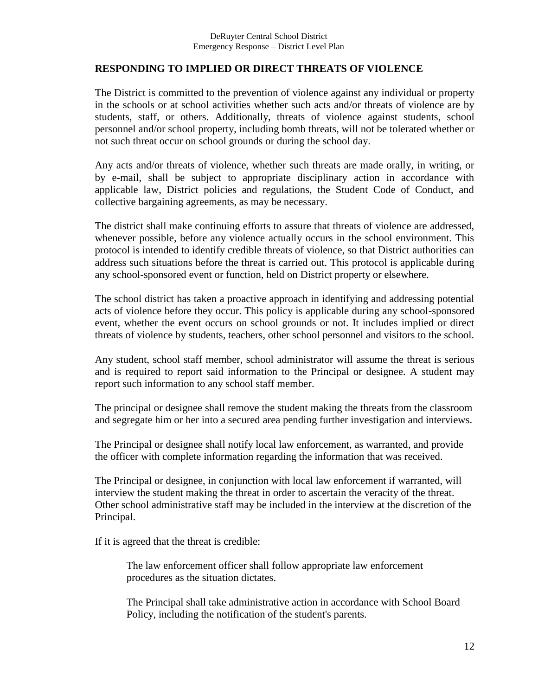#### **RESPONDING TO IMPLIED OR DIRECT THREATS OF VIOLENCE**

The District is committed to the prevention of violence against any individual or property in the schools or at school activities whether such acts and/or threats of violence are by students, staff, or others. Additionally, threats of violence against students, school personnel and/or school property, including bomb threats, will not be tolerated whether or not such threat occur on school grounds or during the school day.

Any acts and/or threats of violence, whether such threats are made orally, in writing, or by e-mail, shall be subject to appropriate disciplinary action in accordance with applicable law, District policies and regulations, the Student Code of Conduct, and collective bargaining agreements, as may be necessary.

The district shall make continuing efforts to assure that threats of violence are addressed, whenever possible, before any violence actually occurs in the school environment. This protocol is intended to identify credible threats of violence, so that District authorities can address such situations before the threat is carried out. This protocol is applicable during any school-sponsored event or function, held on District property or elsewhere.

The school district has taken a proactive approach in identifying and addressing potential acts of violence before they occur. This policy is applicable during any school-sponsored event, whether the event occurs on school grounds or not. It includes implied or direct threats of violence by students, teachers, other school personnel and visitors to the school.

Any student, school staff member, school administrator will assume the threat is serious and is required to report said information to the Principal or designee. A student may report such information to any school staff member.

The principal or designee shall remove the student making the threats from the classroom and segregate him or her into a secured area pending further investigation and interviews.

The Principal or designee shall notify local law enforcement, as warranted, and provide the officer with complete information regarding the information that was received.

The Principal or designee, in conjunction with local law enforcement if warranted, will interview the student making the threat in order to ascertain the veracity of the threat. Other school administrative staff may be included in the interview at the discretion of the Principal.

If it is agreed that the threat is credible:

The law enforcement officer shall follow appropriate law enforcement procedures as the situation dictates.

The Principal shall take administrative action in accordance with School Board Policy, including the notification of the student's parents.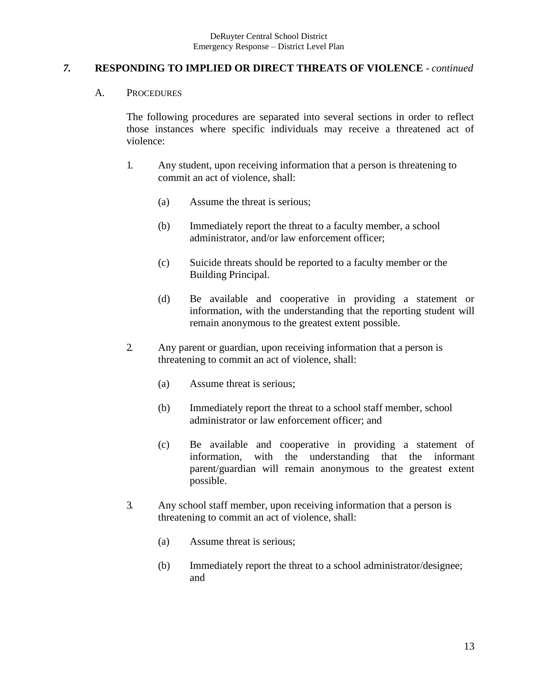#### *7.* **RESPONDING TO IMPLIED OR DIRECT THREATS OF VIOLENCE** - *continued*

#### A. PROCEDURES

The following procedures are separated into several sections in order to reflect those instances where specific individuals may receive a threatened act of violence:

- 1. Any student, upon receiving information that a person is threatening to commit an act of violence, shall:
	- (a) Assume the threat is serious;
	- (b) Immediately report the threat to a faculty member, a school administrator, and/or law enforcement officer;
	- (c) Suicide threats should be reported to a faculty member or the Building Principal.
	- (d) Be available and cooperative in providing a statement or information, with the understanding that the reporting student will remain anonymous to the greatest extent possible.
- 2. Any parent or guardian, upon receiving information that a person is threatening to commit an act of violence, shall:
	- (a) Assume threat is serious;
	- (b) Immediately report the threat to a school staff member, school administrator or law enforcement officer; and
	- (c) Be available and cooperative in providing a statement of information, with the understanding that the informant parent/guardian will remain anonymous to the greatest extent possible.
- 3. Any school staff member, upon receiving information that a person is threatening to commit an act of violence, shall:
	- (a) Assume threat is serious;
	- (b) Immediately report the threat to a school administrator/designee; and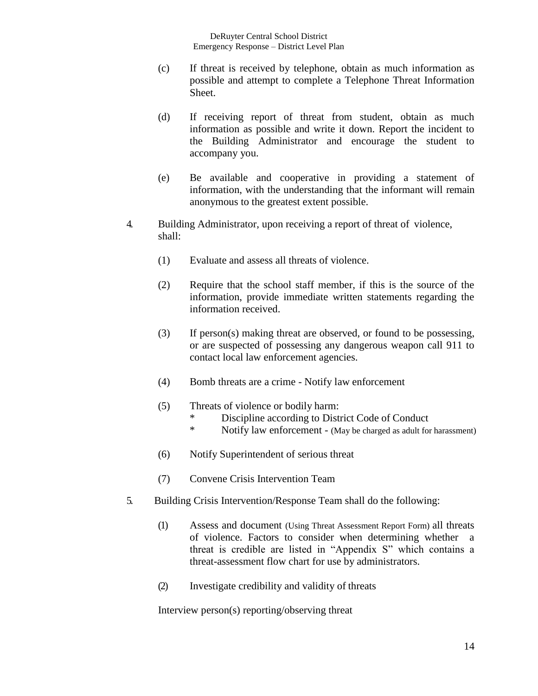- (c) If threat is received by telephone, obtain as much information as possible and attempt to complete a Telephone Threat Information Sheet.
- (d) If receiving report of threat from student, obtain as much information as possible and write it down. Report the incident to the Building Administrator and encourage the student to accompany you.
- (e) Be available and cooperative in providing a statement of information, with the understanding that the informant will remain anonymous to the greatest extent possible.
- 4. Building Administrator, upon receiving a report of threat of violence, shall:
	- (1) Evaluate and assess all threats of violence.
	- (2) Require that the school staff member, if this is the source of the information, provide immediate written statements regarding the information received.
	- (3) If person(s) making threat are observed, or found to be possessing, or are suspected of possessing any dangerous weapon call 911 to contact local law enforcement agencies.
	- (4) Bomb threats are a crime Notify law enforcement
	- (5) Threats of violence or bodily harm:
		- Discipline according to District Code of Conduct
		- \* Notify law enforcement (May be charged as adult for harassment)
	- (6) Notify Superintendent of serious threat
	- (7) Convene Crisis Intervention Team
- 5. Building Crisis Intervention/Response Team shall do the following:
	- (1) Assess and document (Using Threat Assessment Report Form) all threats of violence. Factors to consider when determining whether a threat is credible are listed in "Appendix S" which contains a threat-assessment flow chart for use by administrators.
	- (2) Investigate credibility and validity of threats

Interview person(s) reporting/observing threat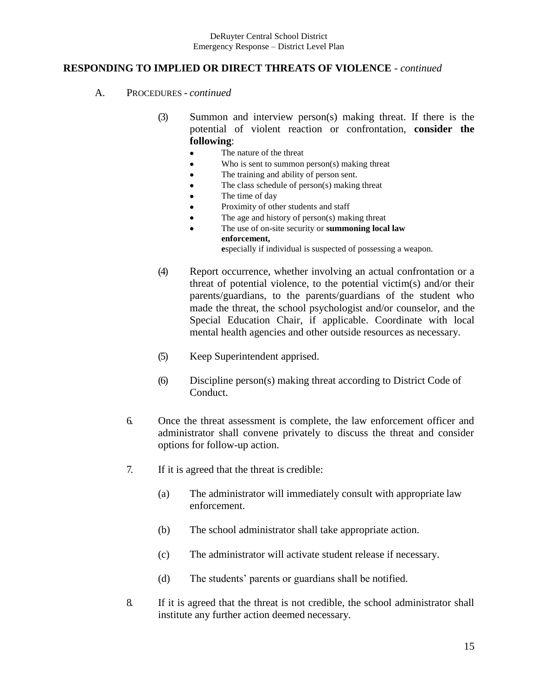#### **RESPONDING TO IMPLIED OR DIRECT THREATS OF VIOLENCE** - *continued*

- A. PROCEDURES *continued*
	- (3) Summon and interview person(s) making threat. If there is the potential of violent reaction or confrontation, **consider the following**:
		- The nature of the threat
		- Who is sent to summon person(s) making threat
		- The training and ability of person sent.
		- The class schedule of person(s) making threat
		- The time of day
		- Proximity of other students and staff
		- The age and history of person(s) making threat
		- The use of on-site security or **summoning local law enforcement, e**specially if individual is suspected of possessing a weapon.
	- (4) Report occurrence, whether involving an actual confrontation or a threat of potential violence, to the potential victim(s) and/or their parents/guardians, to the parents/guardians of the student who made the threat, the school psychologist and/or counselor, and the Special Education Chair, if applicable. Coordinate with local mental health agencies and other outside resources as necessary.
	- (5) Keep Superintendent apprised.
	- (6) Discipline person(s) making threat according to District Code of Conduct.
	- 6. Once the threat assessment is complete, the law enforcement officer and administrator shall convene privately to discuss the threat and consider options for follow-up action.
	- 7. If it is agreed that the threat is credible:
		- (a) The administrator will immediately consult with appropriate law enforcement.
		- (b) The school administrator shall take appropriate action.
		- (c) The administrator will activate student release if necessary.
		- (d) The students' parents or guardians shall be notified.
	- 8. If it is agreed that the threat is not credible, the school administrator shall institute any further action deemed necessary.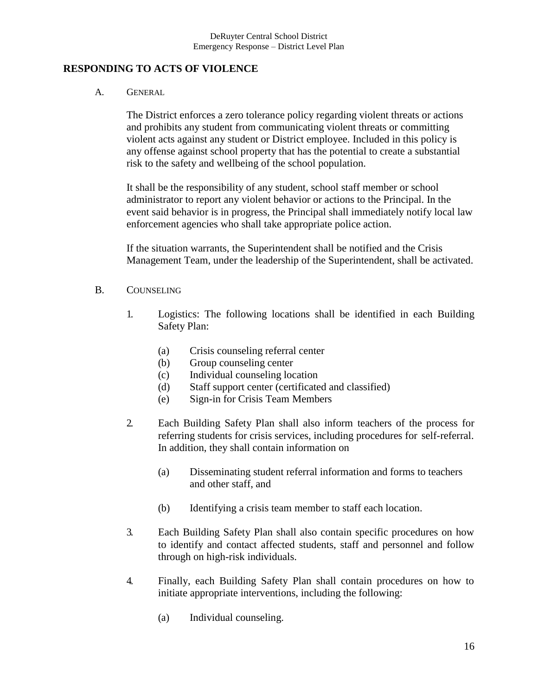#### **RESPONDING TO ACTS OF VIOLENCE**

A. GENERAL

The District enforces a zero tolerance policy regarding violent threats or actions and prohibits any student from communicating violent threats or committing violent acts against any student or District employee. Included in this policy is any offense against school property that has the potential to create a substantial risk to the safety and wellbeing of the school population.

It shall be the responsibility of any student, school staff member or school administrator to report any violent behavior or actions to the Principal. In the event said behavior is in progress, the Principal shall immediately notify local law enforcement agencies who shall take appropriate police action.

If the situation warrants, the Superintendent shall be notified and the Crisis Management Team, under the leadership of the Superintendent, shall be activated.

- B. COUNSELING
	- 1. Logistics: The following locations shall be identified in each Building Safety Plan:
		- (a) Crisis counseling referral center
		- (b) Group counseling center
		- (c) Individual counseling location
		- (d) Staff support center (certificated and classified)
		- (e) Sign-in for Crisis Team Members
	- 2. Each Building Safety Plan shall also inform teachers of the process for referring students for crisis services, including procedures for self-referral. In addition, they shall contain information on
		- (a) Disseminating student referral information and forms to teachers and other staff, and
		- (b) Identifying a crisis team member to staff each location.
	- 3. Each Building Safety Plan shall also contain specific procedures on how to identify and contact affected students, staff and personnel and follow through on high-risk individuals.
	- 4. Finally, each Building Safety Plan shall contain procedures on how to initiate appropriate interventions, including the following:
		- (a) Individual counseling.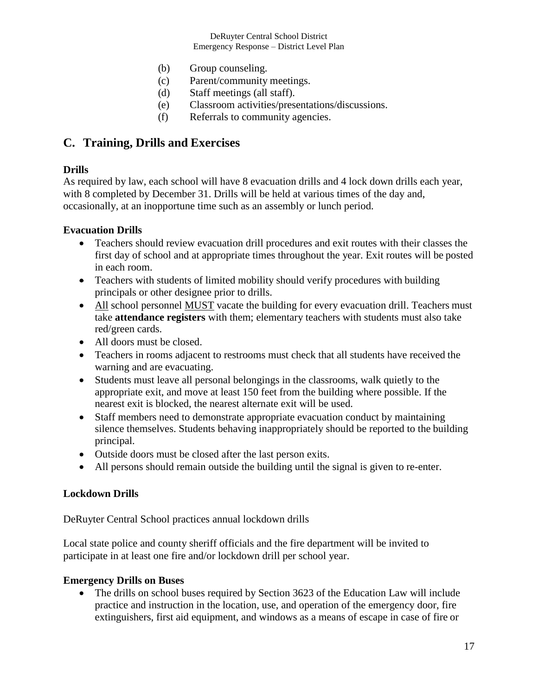- (b) Group counseling.
- (c) Parent/community meetings.
- (d) Staff meetings (all staff).
- (e) Classroom activities/presentations/discussions.
- (f) Referrals to community agencies.

## **C. Training, Drills and Exercises**

#### **Drills**

As required by law, each school will have 8 evacuation drills and 4 lock down drills each year, with 8 completed by December 31. Drills will be held at various times of the day and, occasionally, at an inopportune time such as an assembly or lunch period.

#### **Evacuation Drills**

- Teachers should review evacuation drill procedures and exit routes with their classes the first day of school and at appropriate times throughout the year. Exit routes will be posted in each room.
- Teachers with students of limited mobility should verify procedures with building principals or other designee prior to drills.
- All school personnel MUST vacate the building for every evacuation drill. Teachers must take **attendance registers** with them; elementary teachers with students must also take red/green cards.
- All doors must be closed.
- Teachers in rooms adjacent to restrooms must check that all students have received the warning and are evacuating.
- Students must leave all personal belongings in the classrooms, walk quietly to the appropriate exit, and move at least 150 feet from the building where possible. If the nearest exit is blocked, the nearest alternate exit will be used.
- Staff members need to demonstrate appropriate evacuation conduct by maintaining silence themselves. Students behaving inappropriately should be reported to the building principal.
- Outside doors must be closed after the last person exits.
- All persons should remain outside the building until the signal is given to re-enter.

### **Lockdown Drills**

DeRuyter Central School practices annual lockdown drills

Local state police and county sheriff officials and the fire department will be invited to participate in at least one fire and/or lockdown drill per school year.

#### **Emergency Drills on Buses**

• The drills on school buses required by Section 3623 of the Education Law will include practice and instruction in the location, use, and operation of the emergency door, fire extinguishers, first aid equipment, and windows as a means of escape in case of fire or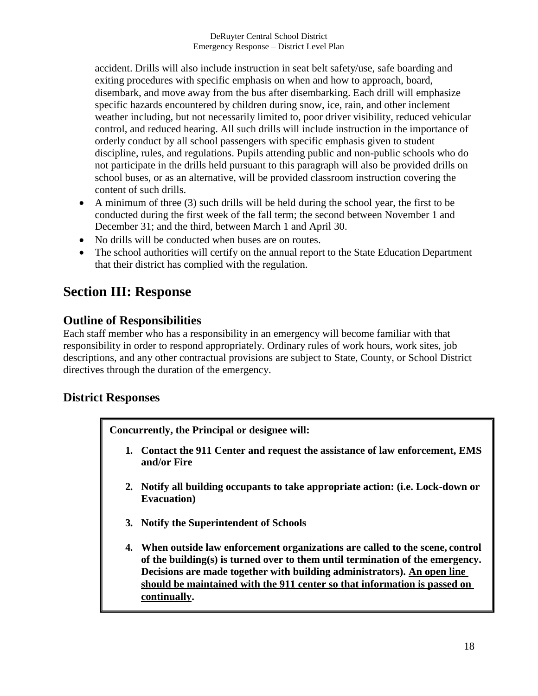accident. Drills will also include instruction in seat belt safety/use, safe boarding and exiting procedures with specific emphasis on when and how to approach, board, disembark, and move away from the bus after disembarking. Each drill will emphasize specific hazards encountered by children during snow, ice, rain, and other inclement weather including, but not necessarily limited to, poor driver visibility, reduced vehicular control, and reduced hearing. All such drills will include instruction in the importance of orderly conduct by all school passengers with specific emphasis given to student discipline, rules, and regulations. Pupils attending public and non-public schools who do not participate in the drills held pursuant to this paragraph will also be provided drills on school buses, or as an alternative, will be provided classroom instruction covering the content of such drills.

- A minimum of three (3) such drills will be held during the school year, the first to be conducted during the first week of the fall term; the second between November 1 and December 31; and the third, between March 1 and April 30.
- No drills will be conducted when buses are on routes.
- The school authorities will certify on the annual report to the State Education Department that their district has complied with the regulation.

## **Section III: Response**

## **Outline of Responsibilities**

Each staff member who has a responsibility in an emergency will become familiar with that responsibility in order to respond appropriately. Ordinary rules of work hours, work sites, job descriptions, and any other contractual provisions are subject to State, County, or School District directives through the duration of the emergency.

## **District Responses**

**Concurrently, the Principal or designee will:**

- **1. Contact the 911 Center and request the assistance of law enforcement, EMS and/or Fire**
- **2. Notify all building occupants to take appropriate action: (i.e. Lock-down or Evacuation)**
- **3. Notify the Superintendent of Schools**
- **4. When outside law enforcement organizations are called to the scene, control of the building(s) is turned over to them until termination of the emergency. Decisions are made together with building administrators). An open line should be maintained with the 911 center so that information is passed on continually.**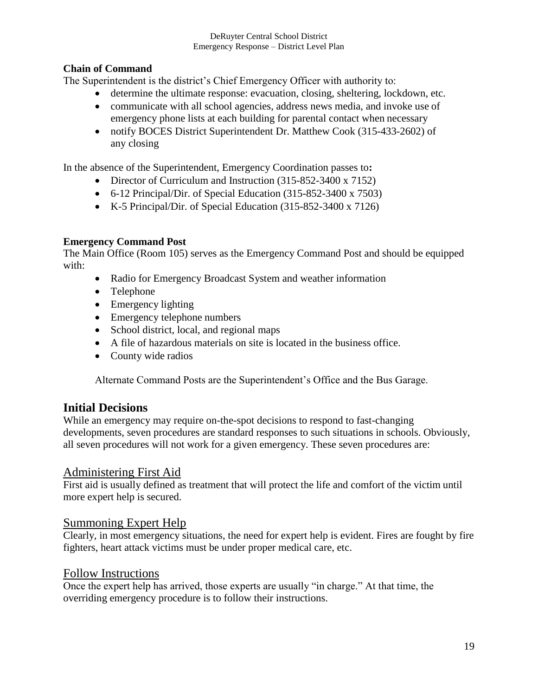## **Chain of Command**

The Superintendent is the district's Chief Emergency Officer with authority to:

- determine the ultimate response: evacuation, closing, sheltering, lockdown, etc.
- communicate with all school agencies, address news media, and invoke use of emergency phone lists at each building for parental contact when necessary
- notify BOCES District Superintendent Dr. Matthew Cook (315-433-2602) of any closing

In the absence of the Superintendent, Emergency Coordination passes to**:**

- Director of Curriculum and Instruction (315-852-3400 x 7152)
- 6-12 Principal/Dir. of Special Education (315-852-3400 x 7503)
- K-5 Principal/Dir. of Special Education (315-852-3400 x 7126)

## **Emergency Command Post**

The Main Office (Room 105) serves as the Emergency Command Post and should be equipped with:

- Radio for Emergency Broadcast System and weather information
- Telephone
- Emergency lighting
- Emergency telephone numbers
- School district, local, and regional maps
- A file of hazardous materials on site is located in the business office.
- County wide radios

Alternate Command Posts are the Superintendent's Office and the Bus Garage.

## **Initial Decisions**

While an emergency may require on-the-spot decisions to respond to fast-changing developments, seven procedures are standard responses to such situations in schools. Obviously, all seven procedures will not work for a given emergency. These seven procedures are:

## Administering First Aid

First aid is usually defined as treatment that will protect the life and comfort of the victim until more expert help is secured.

### Summoning Expert Help

Clearly, in most emergency situations, the need for expert help is evident. Fires are fought by fire fighters, heart attack victims must be under proper medical care, etc.

### Follow Instructions

Once the expert help has arrived, those experts are usually "in charge." At that time, the overriding emergency procedure is to follow their instructions.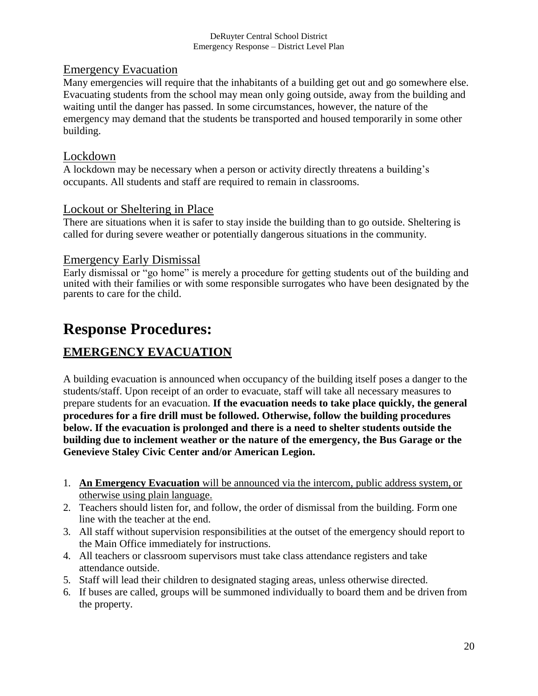## Emergency Evacuation

Many emergencies will require that the inhabitants of a building get out and go somewhere else. Evacuating students from the school may mean only going outside, away from the building and waiting until the danger has passed. In some circumstances, however, the nature of the emergency may demand that the students be transported and housed temporarily in some other building.

## Lockdown

A lockdown may be necessary when a person or activity directly threatens a building's occupants. All students and staff are required to remain in classrooms.

## Lockout or Sheltering in Place

There are situations when it is safer to stay inside the building than to go outside. Sheltering is called for during severe weather or potentially dangerous situations in the community.

## Emergency Early Dismissal

Early dismissal or "go home" is merely a procedure for getting students out of the building and united with their families or with some responsible surrogates who have been designated by the parents to care for the child.

## **Response Procedures:**

## **EMERGENCY EVACUATION**

A building evacuation is announced when occupancy of the building itself poses a danger to the students/staff. Upon receipt of an order to evacuate, staff will take all necessary measures to prepare students for an evacuation. **If the evacuation needs to take place quickly, the general procedures for a fire drill must be followed. Otherwise, follow the building procedures below. If the evacuation is prolonged and there is a need to shelter students outside the building due to inclement weather or the nature of the emergency, the Bus Garage or the Genevieve Staley Civic Center and/or American Legion.**

- 1. **An Emergency Evacuation** will be announced via the intercom, public address system, or otherwise using plain language.
- 2. Teachers should listen for, and follow, the order of dismissal from the building. Form one line with the teacher at the end.
- 3. All staff without supervision responsibilities at the outset of the emergency should report to the Main Office immediately for instructions.
- 4. All teachers or classroom supervisors must take class attendance registers and take attendance outside.
- 5. Staff will lead their children to designated staging areas, unless otherwise directed.
- 6. If buses are called, groups will be summoned individually to board them and be driven from the property.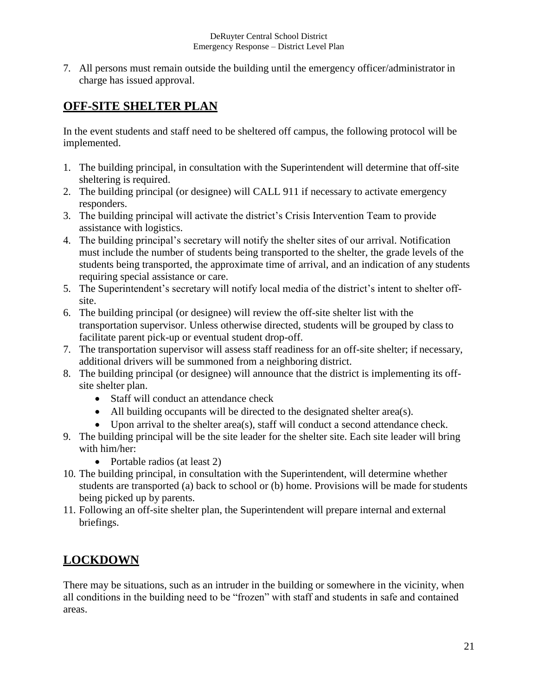7. All persons must remain outside the building until the emergency officer/administrator in charge has issued approval.

## **OFF-SITE SHELTER PLAN**

In the event students and staff need to be sheltered off campus, the following protocol will be implemented.

- 1. The building principal, in consultation with the Superintendent will determine that off-site sheltering is required.
- 2. The building principal (or designee) will CALL 911 if necessary to activate emergency responders.
- 3. The building principal will activate the district's Crisis Intervention Team to provide assistance with logistics.
- 4. The building principal's secretary will notify the shelter sites of our arrival. Notification must include the number of students being transported to the shelter, the grade levels of the students being transported, the approximate time of arrival, and an indication of any students requiring special assistance or care.
- 5. The Superintendent's secretary will notify local media of the district's intent to shelter offsite.
- 6. The building principal (or designee) will review the off-site shelter list with the transportation supervisor. Unless otherwise directed, students will be grouped by class to facilitate parent pick-up or eventual student drop-off.
- 7. The transportation supervisor will assess staff readiness for an off-site shelter; if necessary, additional drivers will be summoned from a neighboring district.
- 8. The building principal (or designee) will announce that the district is implementing its offsite shelter plan.
	- Staff will conduct an attendance check
	- All building occupants will be directed to the designated shelter area(s).
	- $\bullet$  Upon arrival to the shelter area(s), staff will conduct a second attendance check.
- 9. The building principal will be the site leader for the shelter site. Each site leader will bring with him/her:
	- Portable radios (at least 2)
- 10. The building principal, in consultation with the Superintendent, will determine whether students are transported (a) back to school or (b) home. Provisions will be made forstudents being picked up by parents.
- 11. Following an off-site shelter plan, the Superintendent will prepare internal and external briefings.

## **LOCKDOWN**

There may be situations, such as an intruder in the building or somewhere in the vicinity, when all conditions in the building need to be "frozen" with staff and students in safe and contained areas.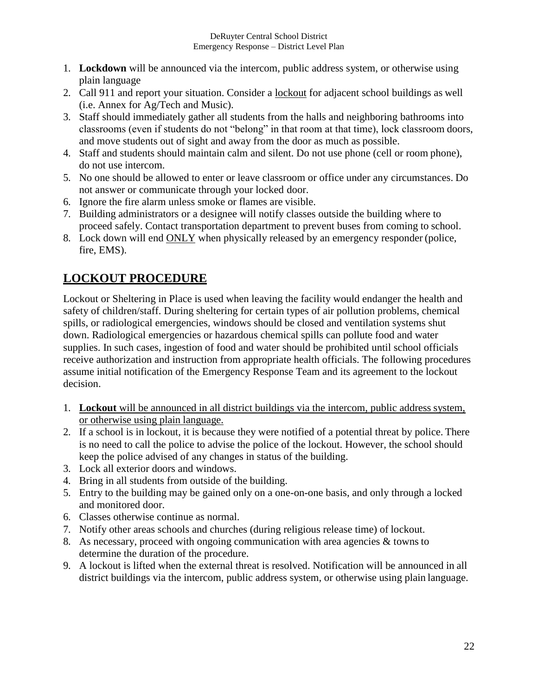- 1. **Lockdown** will be announced via the intercom, public address system, or otherwise using plain language
- 2. Call 911 and report your situation. Consider a lockout for adjacent school buildings as well (i.e. Annex for Ag/Tech and Music).
- 3. Staff should immediately gather all students from the halls and neighboring bathrooms into classrooms (even if students do not "belong" in that room at that time), lock classroom doors, and move students out of sight and away from the door as much as possible.
- 4. Staff and students should maintain calm and silent. Do not use phone (cell or room phone), do not use intercom.
- 5. No one should be allowed to enter or leave classroom or office under any circumstances. Do not answer or communicate through your locked door.
- 6. Ignore the fire alarm unless smoke or flames are visible.
- 7. Building administrators or a designee will notify classes outside the building where to proceed safely. Contact transportation department to prevent buses from coming to school.
- 8. Lock down will end ONLY when physically released by an emergency responder (police, fire, EMS).

## **LOCKOUT PROCEDURE**

Lockout or Sheltering in Place is used when leaving the facility would endanger the health and safety of children/staff. During sheltering for certain types of air pollution problems, chemical spills, or radiological emergencies, windows should be closed and ventilation systems shut down. Radiological emergencies or hazardous chemical spills can pollute food and water supplies. In such cases, ingestion of food and water should be prohibited until school officials receive authorization and instruction from appropriate health officials. The following procedures assume initial notification of the Emergency Response Team and its agreement to the lockout decision.

- 1. **Lockout** will be announced in all district buildings via the intercom, public address system, or otherwise using plain language.
- 2. If a school is in lockout, it is because they were notified of a potential threat by police. There is no need to call the police to advise the police of the lockout. However, the school should keep the police advised of any changes in status of the building.
- 3. Lock all exterior doors and windows.
- 4. Bring in all students from outside of the building.
- 5. Entry to the building may be gained only on a one-on-one basis, and only through a locked and monitored door.
- 6. Classes otherwise continue as normal.
- 7. Notify other areas schools and churches (during religious release time) of lockout.
- 8. As necessary, proceed with ongoing communication with area agencies  $\&$  towns to determine the duration of the procedure.
- 9. A lockout is lifted when the external threat is resolved. Notification will be announced in all district buildings via the intercom, public address system, or otherwise using plain language.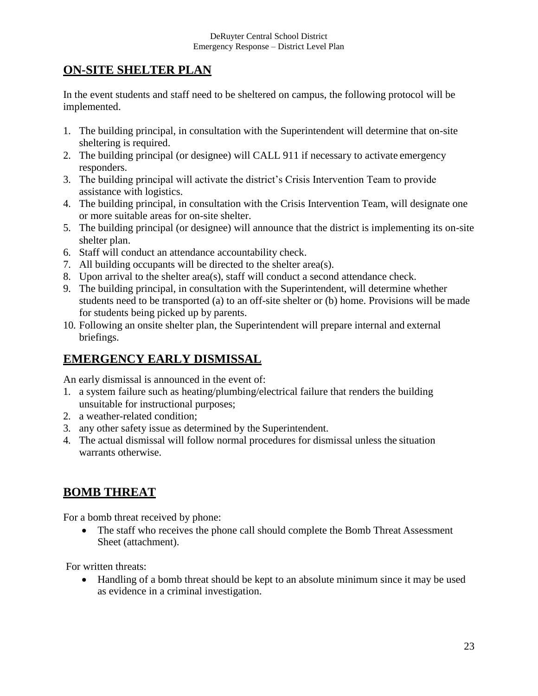## **ON-SITE SHELTER PLAN**

In the event students and staff need to be sheltered on campus, the following protocol will be implemented.

- 1. The building principal, in consultation with the Superintendent will determine that on-site sheltering is required.
- 2. The building principal (or designee) will CALL 911 if necessary to activate emergency responders.
- 3. The building principal will activate the district's Crisis Intervention Team to provide assistance with logistics.
- 4. The building principal, in consultation with the Crisis Intervention Team, will designate one or more suitable areas for on-site shelter.
- 5. The building principal (or designee) will announce that the district is implementing its on-site shelter plan.
- 6. Staff will conduct an attendance accountability check.
- 7. All building occupants will be directed to the shelter area(s).
- 8. Upon arrival to the shelter area(s), staff will conduct a second attendance check.
- 9. The building principal, in consultation with the Superintendent, will determine whether students need to be transported (a) to an off-site shelter or (b) home. Provisions will be made for students being picked up by parents.
- 10. Following an onsite shelter plan, the Superintendent will prepare internal and external briefings.

## **EMERGENCY EARLY DISMISSAL**

An early dismissal is announced in the event of:

- 1. a system failure such as heating/plumbing/electrical failure that renders the building unsuitable for instructional purposes;
- 2. a weather-related condition;
- 3. any other safety issue as determined by the Superintendent.
- 4. The actual dismissal will follow normal procedures for dismissal unless the situation warrants otherwise.

## **BOMB THREAT**

For a bomb threat received by phone:

 The staff who receives the phone call should complete the Bomb Threat Assessment Sheet (attachment).

For written threats:

 Handling of a bomb threat should be kept to an absolute minimum since it may be used as evidence in a criminal investigation.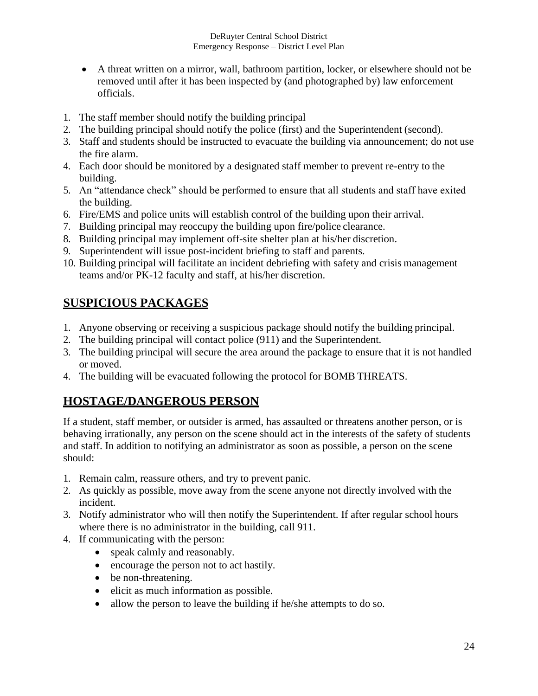- A threat written on a mirror, wall, bathroom partition, locker, or elsewhere should not be removed until after it has been inspected by (and photographed by) law enforcement officials.
- 1. The staff member should notify the building principal
- 2. The building principal should notify the police (first) and the Superintendent (second).
- 3. Staff and students should be instructed to evacuate the building via announcement; do not use the fire alarm.
- 4. Each door should be monitored by a designated staff member to prevent re-entry to the building.
- 5. An "attendance check" should be performed to ensure that all students and staff have exited the building.
- 6. Fire/EMS and police units will establish control of the building upon their arrival.
- 7. Building principal may reoccupy the building upon fire/police clearance.
- 8. Building principal may implement off-site shelter plan at his/her discretion.
- 9. Superintendent will issue post-incident briefing to staff and parents.
- 10. Building principal will facilitate an incident debriefing with safety and crisis management teams and/or PK-12 faculty and staff, at his/her discretion.

## **SUSPICIOUS PACKAGES**

- 1. Anyone observing or receiving a suspicious package should notify the building principal.
- 2. The building principal will contact police (911) and the Superintendent.
- 3. The building principal will secure the area around the package to ensure that it is not handled or moved.
- 4. The building will be evacuated following the protocol for BOMB THREATS.

## **HOSTAGE/DANGEROUS PERSON**

If a student, staff member, or outsider is armed, has assaulted or threatens another person, or is behaving irrationally, any person on the scene should act in the interests of the safety of students and staff. In addition to notifying an administrator as soon as possible, a person on the scene should:

- 1. Remain calm, reassure others, and try to prevent panic.
- 2. As quickly as possible, move away from the scene anyone not directly involved with the incident.
- 3. Notify administrator who will then notify the Superintendent. If after regular school hours where there is no administrator in the building, call 911.
- 4. If communicating with the person:
	- speak calmly and reasonably.
	- encourage the person not to act hastily.
	- be non-threatening.
	- elicit as much information as possible.
	- allow the person to leave the building if he/she attempts to do so.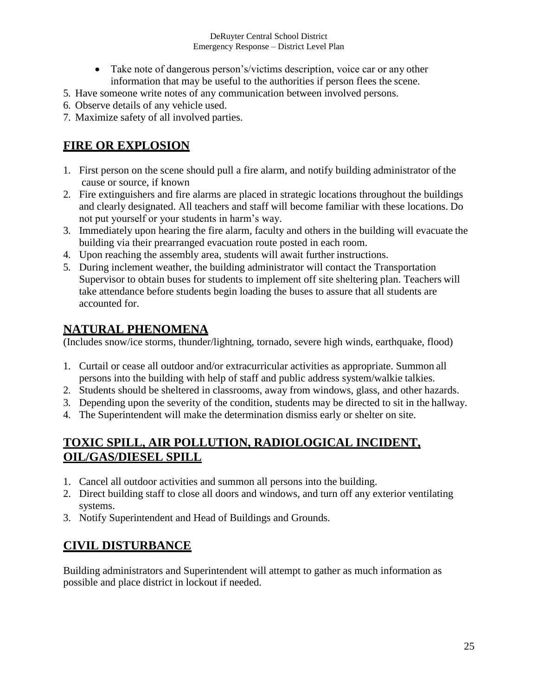- Take note of dangerous person's/victims description, voice car or any other information that may be useful to the authorities if person flees the scene.
- 5. Have someone write notes of any communication between involved persons.
- 6. Observe details of any vehicle used.
- 7. Maximize safety of all involved parties.

## **FIRE OR EXPLOSION**

- 1. First person on the scene should pull a fire alarm, and notify building administrator of the cause or source, if known
- 2. Fire extinguishers and fire alarms are placed in strategic locations throughout the buildings and clearly designated. All teachers and staff will become familiar with these locations. Do not put yourself or your students in harm's way.
- 3. Immediately upon hearing the fire alarm, faculty and others in the building will evacuate the building via their prearranged evacuation route posted in each room.
- 4. Upon reaching the assembly area, students will await further instructions.
- 5. During inclement weather, the building administrator will contact the Transportation Supervisor to obtain buses for students to implement off site sheltering plan. Teachers will take attendance before students begin loading the buses to assure that all students are accounted for.

## **NATURAL PHENOMENA**

(Includes snow/ice storms, thunder/lightning, tornado, severe high winds, earthquake, flood)

- 1. Curtail or cease all outdoor and/or extracurricular activities as appropriate. Summon all persons into the building with help of staff and public address system/walkie talkies.
- 2. Students should be sheltered in classrooms, away from windows, glass, and other hazards.
- 3. Depending upon the severity of the condition, students may be directed to sit in the hallway.
- 4. The Superintendent will make the determination dismiss early or shelter on site.

## **TOXIC SPILL, AIR POLLUTION, RADIOLOGICAL INCIDENT, OIL/GAS/DIESEL SPILL**

- 1. Cancel all outdoor activities and summon all persons into the building.
- 2. Direct building staff to close all doors and windows, and turn off any exterior ventilating systems.
- 3. Notify Superintendent and Head of Buildings and Grounds.

## **CIVIL DISTURBANCE**

Building administrators and Superintendent will attempt to gather as much information as possible and place district in lockout if needed.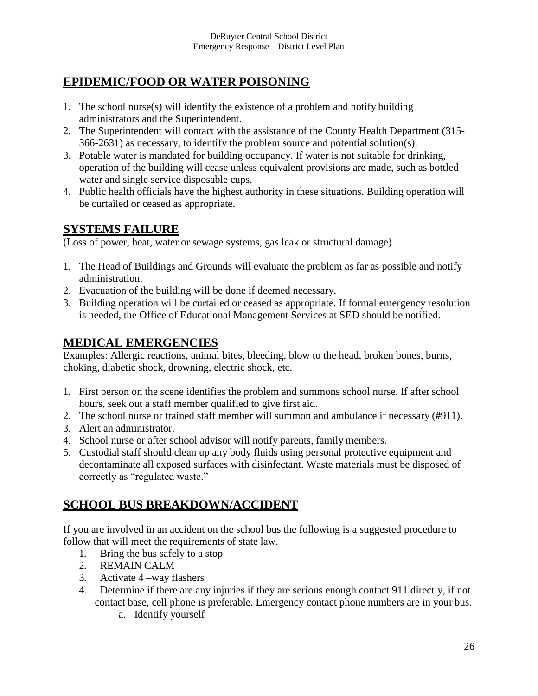## **EPIDEMIC/FOOD OR WATER POISONING**

- 1. The school nurse(s) will identify the existence of a problem and notify building administrators and the Superintendent.
- 2. The Superintendent will contact with the assistance of the County Health Department (315- 366-2631) as necessary, to identify the problem source and potential solution(s).
- 3. Potable water is mandated for building occupancy. If water is not suitable for drinking, operation of the building will cease unless equivalent provisions are made, such as bottled water and single service disposable cups.
- 4. Public health officials have the highest authority in these situations. Building operation will be curtailed or ceased as appropriate.

## **SYSTEMS FAILURE**

(Loss of power, heat, water or sewage systems, gas leak or structural damage)

- 1. The Head of Buildings and Grounds will evaluate the problem as far as possible and notify administration.
- 2. Evacuation of the building will be done if deemed necessary.
- 3. Building operation will be curtailed or ceased as appropriate. If formal emergency resolution is needed, the Office of Educational Management Services at SED should be notified.

## **MEDICAL EMERGENCIES**

Examples: Allergic reactions, animal bites, bleeding, blow to the head, broken bones, burns, choking, diabetic shock, drowning, electric shock, etc.

- 1. First person on the scene identifies the problem and summons school nurse. If after school hours, seek out a staff member qualified to give first aid.
- 2. The school nurse or trained staff member will summon and ambulance if necessary (#911).
- 3. Alert an administrator.
- 4. School nurse or after school advisor will notify parents, family members.
- 5. Custodial staff should clean up any body fluids using personal protective equipment and decontaminate all exposed surfaces with disinfectant. Waste materials must be disposed of correctly as "regulated waste."

## **SCHOOL BUS BREAKDOWN/ACCIDENT**

If you are involved in an accident on the school bus the following is a suggested procedure to follow that will meet the requirements of state law.

- 1. Bring the bus safely to a stop
- 2. REMAIN CALM
- 3. Activate 4 –way flashers
- 4. Determine if there are any injuries if they are serious enough contact 911 directly, if not contact base, cell phone is preferable. Emergency contact phone numbers are in your bus.
	- a. Identify yourself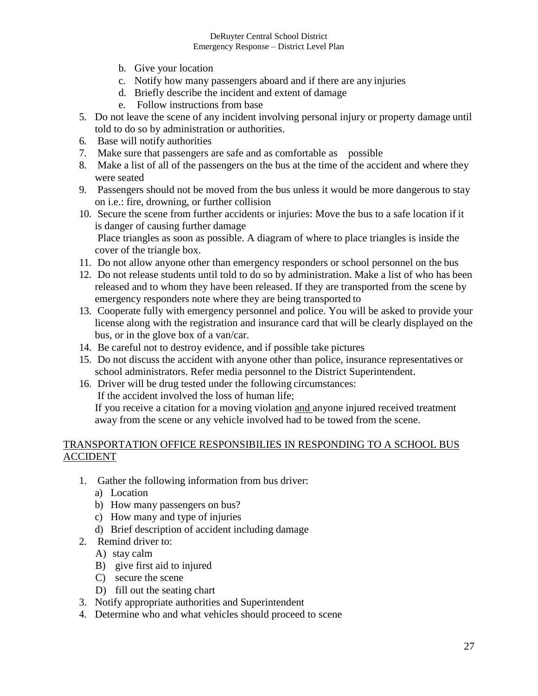- b. Give your location
- c. Notify how many passengers aboard and if there are any injuries
- d. Briefly describe the incident and extent of damage
- e. Follow instructions from base
- 5. Do not leave the scene of any incident involving personal injury or property damage until told to do so by administration or authorities.
- 6. Base will notify authorities
- 7. Make sure that passengers are safe and as comfortable as possible
- 8. Make a list of all of the passengers on the bus at the time of the accident and where they were seated
- 9. Passengers should not be moved from the bus unless it would be more dangerous to stay on i.e.: fire, drowning, or further collision
- 10. Secure the scene from further accidents or injuries: Move the bus to a safe location if it is danger of causing further damage

Place triangles as soon as possible. A diagram of where to place triangles is inside the cover of the triangle box.

- 11. Do not allow anyone other than emergency responders or school personnel on the bus
- 12. Do not release students until told to do so by administration. Make a list of who has been released and to whom they have been released. If they are transported from the scene by emergency responders note where they are being transported to
- 13. Cooperate fully with emergency personnel and police. You will be asked to provide your license along with the registration and insurance card that will be clearly displayed on the bus, or in the glove box of a van/car.
- 14. Be careful not to destroy evidence, and if possible take pictures
- 15. Do not discuss the accident with anyone other than police, insurance representatives or school administrators. Refer media personnel to the District Superintendent.
- 16. Driver will be drug tested under the following circumstances:

If the accident involved the loss of human life;

If you receive a citation for a moving violation and anyone injured received treatment away from the scene or any vehicle involved had to be towed from the scene.

### TRANSPORTATION OFFICE RESPONSIBILIES IN RESPONDING TO A SCHOOL BUS ACCIDENT

- 1. Gather the following information from bus driver:
	- a) Location
	- b) How many passengers on bus?
	- c) How many and type of injuries
	- d) Brief description of accident including damage
- 2. Remind driver to:
	- A) stay calm
	- B) give first aid to injured
	- C) secure the scene
	- D) fill out the seating chart
- 3. Notify appropriate authorities and Superintendent
- 4. Determine who and what vehicles should proceed to scene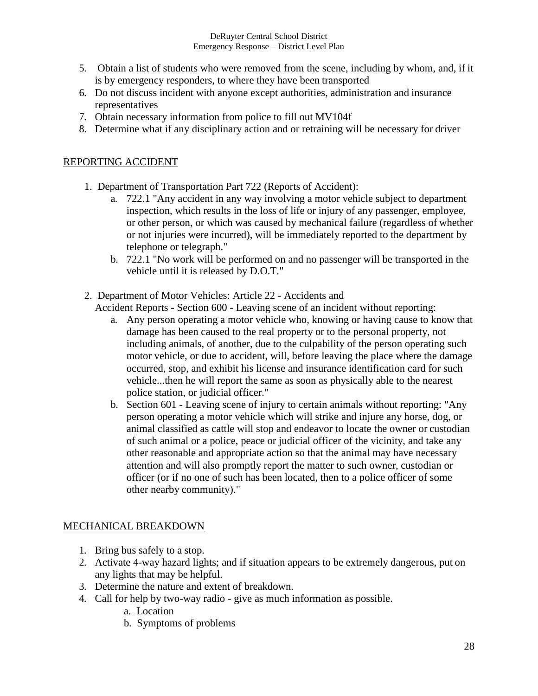- 5. Obtain a list of students who were removed from the scene, including by whom, and, if it is by emergency responders, to where they have been transported
- 6. Do not discuss incident with anyone except authorities, administration and insurance representatives
- 7. Obtain necessary information from police to fill out MV104f
- 8. Determine what if any disciplinary action and or retraining will be necessary for driver

## REPORTING ACCIDENT

- 1. Department of Transportation Part 722 (Reports of Accident):
	- a. 722.1 "Any accident in any way involving a motor vehicle subject to department inspection, which results in the loss of life or injury of any passenger, employee, or other person, or which was caused by mechanical failure (regardless of whether or not injuries were incurred), will be immediately reported to the department by telephone or telegraph."
	- b. 722.1 "No work will be performed on and no passenger will be transported in the vehicle until it is released by D.O.T."
- 2. Department of Motor Vehicles: Article 22 Accidents and Accident Reports - Section 600 - Leaving scene of an incident without reporting:
	- a. Any person operating a motor vehicle who, knowing or having cause to know that damage has been caused to the real property or to the personal property, not including animals, of another, due to the culpability of the person operating such motor vehicle, or due to accident, will, before leaving the place where the damage occurred, stop, and exhibit his license and insurance identification card for such vehicle...then he will report the same as soon as physically able to the nearest police station, or judicial officer."
	- b. Section 601 Leaving scene of injury to certain animals without reporting: "Any person operating a motor vehicle which will strike and injure any horse, dog, or animal classified as cattle will stop and endeavor to locate the owner or custodian of such animal or a police, peace or judicial officer of the vicinity, and take any other reasonable and appropriate action so that the animal may have necessary attention and will also promptly report the matter to such owner, custodian or officer (or if no one of such has been located, then to a police officer of some other nearby community)."

## MECHANICAL BREAKDOWN

- 1. Bring bus safely to a stop.
- 2. Activate 4-way hazard lights; and if situation appears to be extremely dangerous, put on any lights that may be helpful.
- 3. Determine the nature and extent of breakdown.
- 4. Call for help by two-way radio give as much information as possible.
	- a. Location
	- b. Symptoms of problems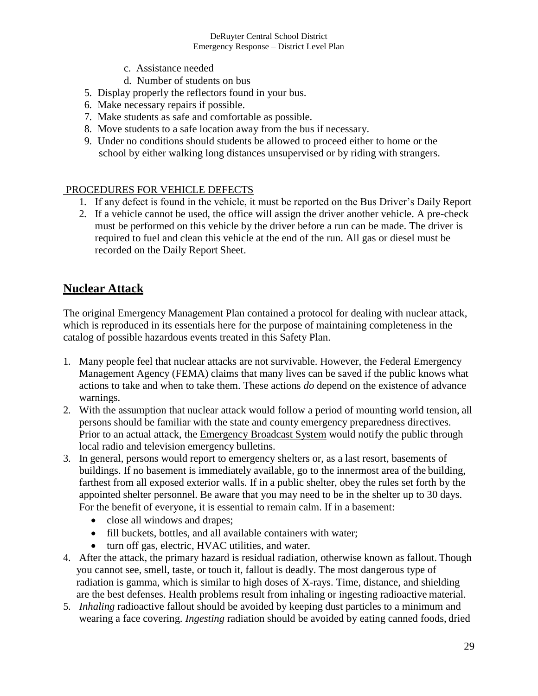- c. Assistance needed
- d. Number of students on bus
- 5. Display properly the reflectors found in your bus.
- 6. Make necessary repairs if possible.
- 7. Make students as safe and comfortable as possible.
- 8. Move students to a safe location away from the bus if necessary.
- 9. Under no conditions should students be allowed to proceed either to home or the school by either walking long distances unsupervised or by riding with strangers.

#### PROCEDURES FOR VEHICLE DEFECTS

- 1. If any defect is found in the vehicle, it must be reported on the Bus Driver's Daily Report
- 2. If a vehicle cannot be used, the office will assign the driver another vehicle. A pre-check must be performed on this vehicle by the driver before a run can be made. The driver is required to fuel and clean this vehicle at the end of the run. All gas or diesel must be recorded on the Daily Report Sheet.

## **Nuclear Attack**

The original Emergency Management Plan contained a protocol for dealing with nuclear attack, which is reproduced in its essentials here for the purpose of maintaining completeness in the catalog of possible hazardous events treated in this Safety Plan.

- 1. Many people feel that nuclear attacks are not survivable. However, the Federal Emergency Management Agency (FEMA) claims that many lives can be saved if the public knows what actions to take and when to take them. These actions *do* depend on the existence of advance warnings.
- 2. With the assumption that nuclear attack would follow a period of mounting world tension, all persons should be familiar with the state and county emergency preparedness directives. Prior to an actual attack, the Emergency Broadcast System would notify the public through local radio and television emergency bulletins.
- 3. In general, persons would report to emergency shelters or, as a last resort, basements of buildings. If no basement is immediately available, go to the innermost area of the building, farthest from all exposed exterior walls. If in a public shelter, obey the rules set forth by the appointed shelter personnel. Be aware that you may need to be in the shelter up to 30 days. For the benefit of everyone, it is essential to remain calm. If in a basement:
	- close all windows and drapes;
	- fill buckets, bottles, and all available containers with water;
	- turn off gas, electric, HVAC utilities, and water.
- 4. After the attack, the primary hazard is residual radiation, otherwise known as fallout. Though you cannot see, smell, taste, or touch it, fallout is deadly. The most dangerous type of radiation is gamma, which is similar to high doses of X-rays. Time, distance, and shielding are the best defenses. Health problems result from inhaling or ingesting radioactive material.
- 5. *Inhaling* radioactive fallout should be avoided by keeping dust particles to a minimum and wearing a face covering. *Ingesting* radiation should be avoided by eating canned foods, dried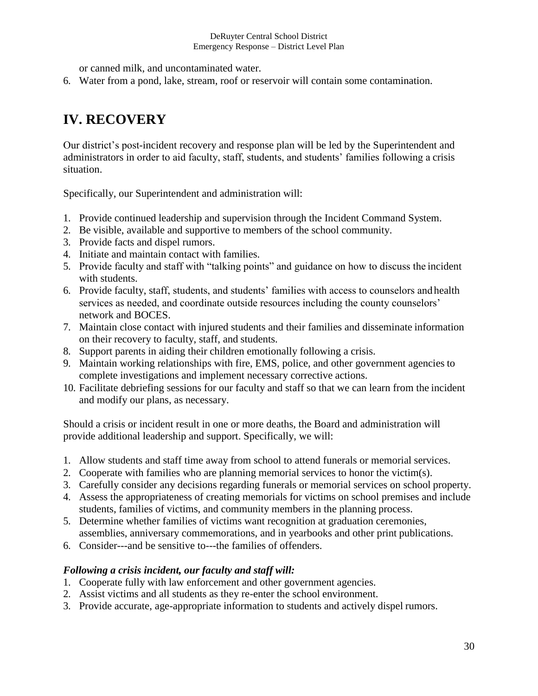or canned milk, and uncontaminated water.

6. Water from a pond, lake, stream, roof or reservoir will contain some contamination.

## **IV. RECOVERY**

Our district's post-incident recovery and response plan will be led by the Superintendent and administrators in order to aid faculty, staff, students, and students' families following a crisis situation.

Specifically, our Superintendent and administration will:

- 1. Provide continued leadership and supervision through the Incident Command System.
- 2. Be visible, available and supportive to members of the school community.
- 3. Provide facts and dispel rumors.
- 4. Initiate and maintain contact with families.
- 5. Provide faculty and staff with "talking points" and guidance on how to discuss the incident with students.
- 6. Provide faculty, staff, students, and students' families with access to counselors and health services as needed, and coordinate outside resources including the county counselors' network and BOCES.
- 7. Maintain close contact with injured students and their families and disseminate information on their recovery to faculty, staff, and students.
- 8. Support parents in aiding their children emotionally following a crisis.
- 9. Maintain working relationships with fire, EMS, police, and other government agencies to complete investigations and implement necessary corrective actions.
- 10. Facilitate debriefing sessions for our faculty and staff so that we can learn from the incident and modify our plans, as necessary.

Should a crisis or incident result in one or more deaths, the Board and administration will provide additional leadership and support. Specifically, we will:

- 1. Allow students and staff time away from school to attend funerals or memorial services.
- 2. Cooperate with families who are planning memorial services to honor the victim(s).
- 3. Carefully consider any decisions regarding funerals or memorial services on school property.
- 4. Assess the appropriateness of creating memorials for victims on school premises and include students, families of victims, and community members in the planning process.
- 5. Determine whether families of victims want recognition at graduation ceremonies, assemblies, anniversary commemorations, and in yearbooks and other print publications.
- 6. Consider---and be sensitive to---the families of offenders.

### *Following a crisis incident, our faculty and staff will:*

- 1. Cooperate fully with law enforcement and other government agencies.
- 2. Assist victims and all students as they re-enter the school environment.
- 3. Provide accurate, age-appropriate information to students and actively dispel rumors.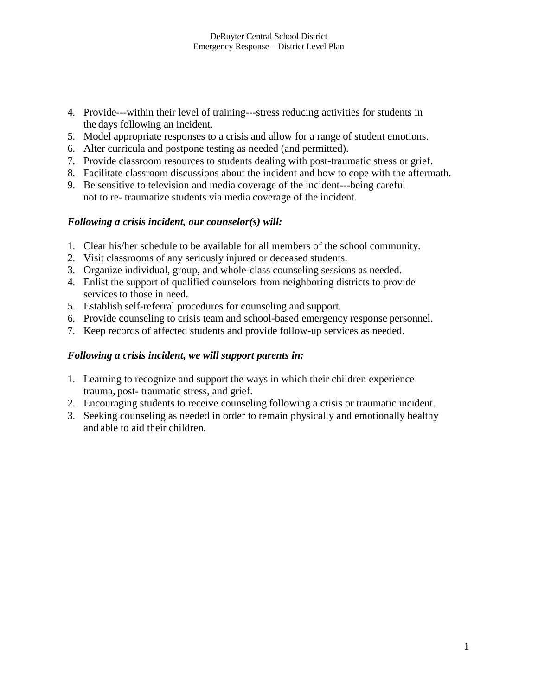- 4. Provide---within their level of training---stress reducing activities for students in the days following an incident.
- 5. Model appropriate responses to a crisis and allow for a range of student emotions.
- 6. Alter curricula and postpone testing as needed (and permitted).
- 7. Provide classroom resources to students dealing with post-traumatic stress or grief.
- 8. Facilitate classroom discussions about the incident and how to cope with the aftermath.
- 9. Be sensitive to television and media coverage of the incident---being careful not to re- traumatize students via media coverage of the incident.

#### *Following a crisis incident, our counselor(s) will:*

- 1. Clear his/her schedule to be available for all members of the school community.
- 2. Visit classrooms of any seriously injured or deceased students.
- 3. Organize individual, group, and whole-class counseling sessions as needed.
- 4. Enlist the support of qualified counselors from neighboring districts to provide services to those in need.
- 5. Establish self-referral procedures for counseling and support.
- 6. Provide counseling to crisis team and school-based emergency response personnel.
- 7. Keep records of affected students and provide follow-up services as needed.

### *Following a crisis incident, we will support parents in:*

- 1. Learning to recognize and support the ways in which their children experience trauma, post- traumatic stress, and grief.
- 2. Encouraging students to receive counseling following a crisis or traumatic incident.
- 3. Seeking counseling as needed in order to remain physically and emotionally healthy and able to aid their children.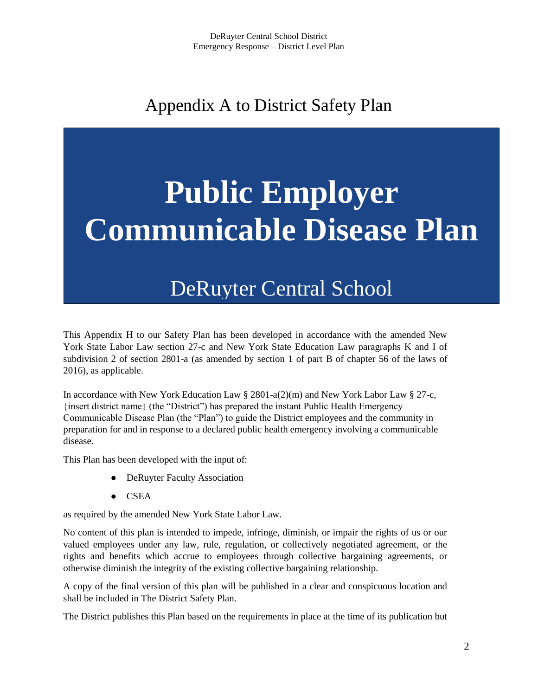## Appendix A to District Safety Plan

# **Public Employer Communicable Disease Plan**

# DeRuyter Central School

This Appendix H to our Safety Plan has been developed in accordance with the amended New York State Labor Law section 27-c and New York State Education Law paragraphs K and I of subdivision 2 of section 2801-a (as amended by section 1 of part B of chapter 56 of the laws of 2016), as applicable.

In accordance with New York Education Law  $\S 2801-a(2)(m)$  and New York Labor Law  $\S 27-c$ , {insert district name} (the "District") has prepared the instant Public Health Emergency Communicable Disease Plan (the "Plan") to guide the District employees and the community in preparation for and in response to a declared public health emergency involving a communicable disease.

This Plan has been developed with the input of:

- DeRuyter Faculty Association
- $\bullet$  CSEA

as required by the amended New York State Labor Law.

No content of this plan is intended to impede, infringe, diminish, or impair the rights of us or our valued employees under any law, rule, regulation, or collectively negotiated agreement, or the rights and benefits which accrue to employees through collective bargaining agreements, or otherwise diminish the integrity of the existing collective bargaining relationship.

A copy of the final version of this plan will be published in a clear and conspicuous location and shall be included in The District Safety Plan.

The District publishes this Plan based on the requirements in place at the time of its publication but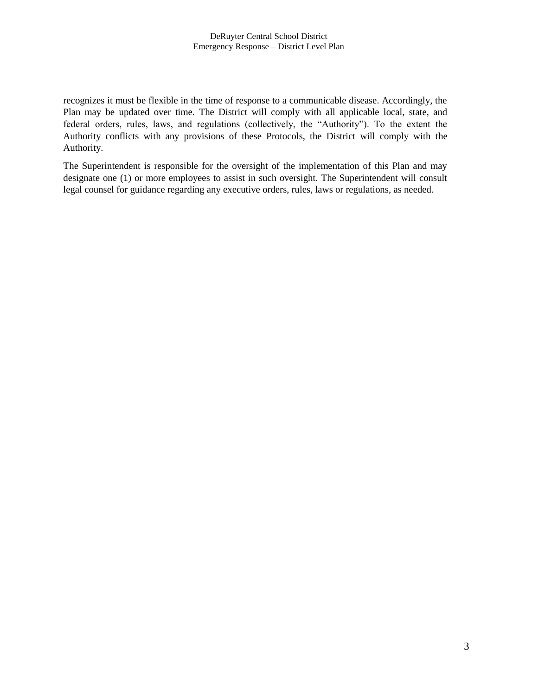recognizes it must be flexible in the time of response to a communicable disease. Accordingly, the Plan may be updated over time. The District will comply with all applicable local, state, and federal orders, rules, laws, and regulations (collectively, the "Authority"). To the extent the Authority conflicts with any provisions of these Protocols, the District will comply with the Authority.

The Superintendent is responsible for the oversight of the implementation of this Plan and may designate one (1) or more employees to assist in such oversight. The Superintendent will consult legal counsel for guidance regarding any executive orders, rules, laws or regulations, as needed.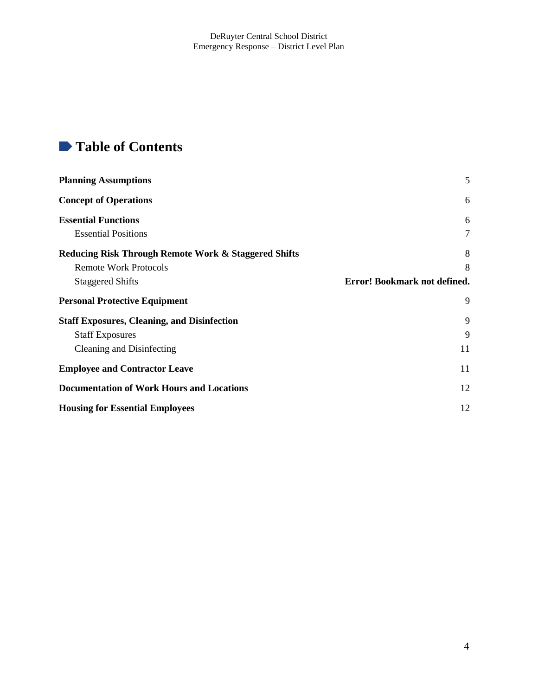## **Table of Contents**

| <b>Planning Assumptions</b>                                     | 5                            |
|-----------------------------------------------------------------|------------------------------|
| <b>Concept of Operations</b>                                    | 6                            |
| <b>Essential Functions</b>                                      | 6                            |
| <b>Essential Positions</b>                                      | $\tau$                       |
| <b>Reducing Risk Through Remote Work &amp; Staggered Shifts</b> | 8                            |
| <b>Remote Work Protocols</b>                                    | 8                            |
| <b>Staggered Shifts</b>                                         | Error! Bookmark not defined. |
| <b>Personal Protective Equipment</b>                            | 9                            |
| <b>Staff Exposures, Cleaning, and Disinfection</b>              | 9                            |
| <b>Staff Exposures</b>                                          | 9                            |
| Cleaning and Disinfecting                                       | 11                           |
| <b>Employee and Contractor Leave</b><br>11                      |                              |
| <b>Documentation of Work Hours and Locations</b>                |                              |
| <b>Housing for Essential Employees</b>                          |                              |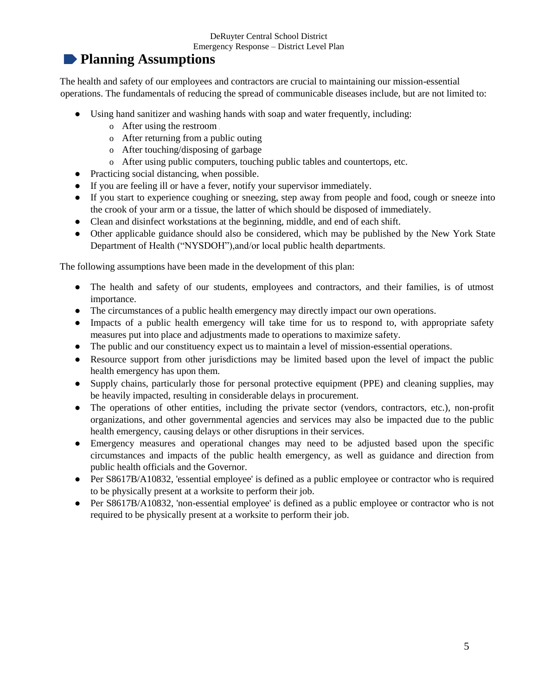## <span id="page-34-0"></span>**Planning Assumptions**

The health and safety of our employees and contractors are crucial to maintaining our mission-essential operations. The fundamentals of reducing the spread of communicable diseases include, but are not limited to:

- Using hand sanitizer and washing hands with soap and water frequently, including:
	- o After using the restroom
	- o After returning from a public outing
	- o After touching/disposing of garbage
	- o After using public computers, touching public tables and countertops, etc.
- Practicing social distancing, when possible.
- If you are feeling ill or have a fever, notify your supervisor immediately.
- If you start to experience coughing or sneezing, step away from people and food, cough or sneeze into the crook of your arm or a tissue, the latter of which should be disposed of immediately.
- Clean and disinfect workstations at the beginning, middle, and end of each shift.
- Other applicable guidance should also be considered, which may be published by the New York State Department of Health ("NYSDOH"),and/or local public health departments.

The following assumptions have been made in the development of this plan:

- The health and safety of our students, employees and contractors, and their families, is of utmost importance.
- The circumstances of a public health emergency may directly impact our own operations.
- Impacts of a public health emergency will take time for us to respond to, with appropriate safety measures put into place and adjustments made to operations to maximize safety.
- The public and our constituency expect us to maintain a level of mission-essential operations.
- Resource support from other jurisdictions may be limited based upon the level of impact the public health emergency has upon them.
- Supply chains, particularly those for personal protective equipment (PPE) and cleaning supplies, may be heavily impacted, resulting in considerable delays in procurement.
- The operations of other entities, including the private sector (vendors, contractors, etc.), non-profit organizations, and other governmental agencies and services may also be impacted due to the public health emergency, causing delays or other disruptions in their services.
- Emergency measures and operational changes may need to be adjusted based upon the specific circumstances and impacts of the public health emergency, as well as guidance and direction from public health officials and the Governor.
- Per S8617B/A10832, 'essential employee' is defined as a public employee or contractor who is required to be physically present at a worksite to perform their job.
- Per S8617B/A10832, 'non-essential employee' is defined as a public employee or contractor who is not required to be physically present at a worksite to perform their job.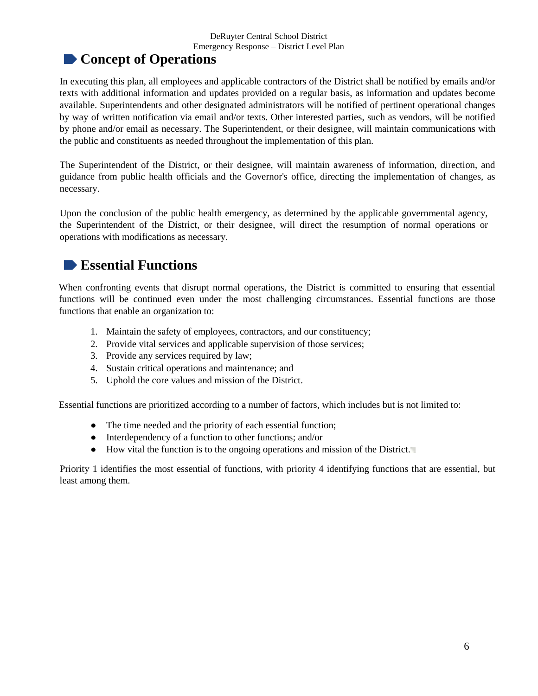## <span id="page-35-0"></span>**Concept of Operations**

In executing this plan, all employees and applicable contractors of the District shall be notified by emails and/or texts with additional information and updates provided on a regular basis, as information and updates become available. Superintendents and other designated administrators will be notified of pertinent operational changes by way of written notification via email and/or texts. Other interested parties, such as vendors, will be notified by phone and/or email as necessary. The Superintendent, or their designee, will maintain communications with the public and constituents as needed throughout the implementation of this plan.

The Superintendent of the District, or their designee, will maintain awareness of information, direction, and guidance from public health officials and the Governor's office, directing the implementation of changes, as necessary.

Upon the conclusion of the public health emergency, as determined by the applicable governmental agency, the Superintendent of the District, or their designee, will direct the resumption of normal operations or operations with modifications as necessary.

## <span id="page-35-1"></span>**Essential Functions**

When confronting events that disrupt normal operations, the District is committed to ensuring that essential functions will be continued even under the most challenging circumstances. Essential functions are those functions that enable an organization to:

- 1. Maintain the safety of employees, contractors, and our constituency;
- 2. Provide vital services and applicable supervision of those services;
- 3. Provide any services required by law;
- 4. Sustain critical operations and maintenance; and
- 5. Uphold the core values and mission of the District.

Essential functions are prioritized according to a number of factors, which includes but is not limited to:

- The time needed and the priority of each essential function;
- Interdependency of a function to other functions; and/or
- How vital the function is to the ongoing operations and mission of the District.

Priority 1 identifies the most essential of functions, with priority 4 identifying functions that are essential, but least among them.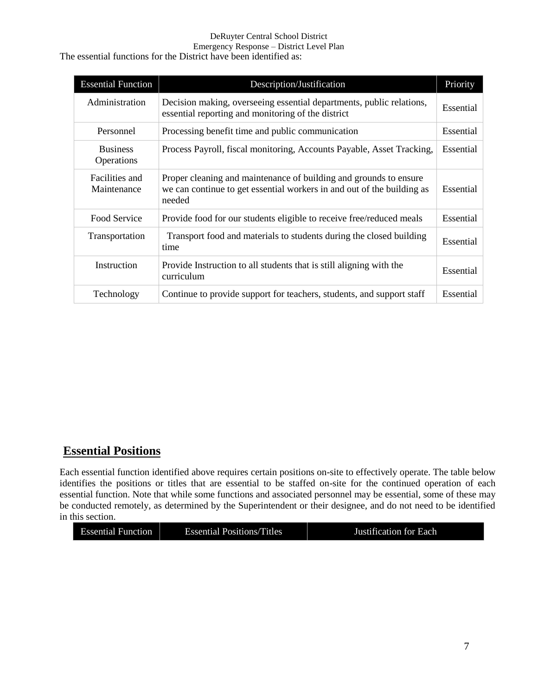The essential functions for the District have been identified as:

| <b>Essential Function</b>     | Description/Justification                                                                                                                             |           |
|-------------------------------|-------------------------------------------------------------------------------------------------------------------------------------------------------|-----------|
| Administration                | Decision making, overseeing essential departments, public relations,<br>essential reporting and monitoring of the district                            | Essential |
| Personnel                     | Processing benefit time and public communication                                                                                                      |           |
| <b>Business</b><br>Operations | Process Payroll, fiscal monitoring, Accounts Payable, Asset Tracking,                                                                                 | Essential |
| Facilities and<br>Maintenance | Proper cleaning and maintenance of building and grounds to ensure<br>we can continue to get essential workers in and out of the building as<br>needed | Essential |
| Food Service                  | Provide food for our students eligible to receive free/reduced meals                                                                                  | Essential |
| Transportation                | Transport food and materials to students during the closed building<br>time                                                                           | Essential |
| Instruction                   | Provide Instruction to all students that is still aligning with the<br>curriculum                                                                     | Essential |
| Technology                    | Continue to provide support for teachers, students, and support staff                                                                                 | Essential |

## <span id="page-36-0"></span>**Essential Positions**

Each essential function identified above requires certain positions on-site to effectively operate. The table below identifies the positions or titles that are essential to be staffed on-site for the continued operation of each essential function. Note that while some functions and associated personnel may be essential, some of these may be conducted remotely, as determined by the Superintendent or their designee, and do not need to be identified in this section.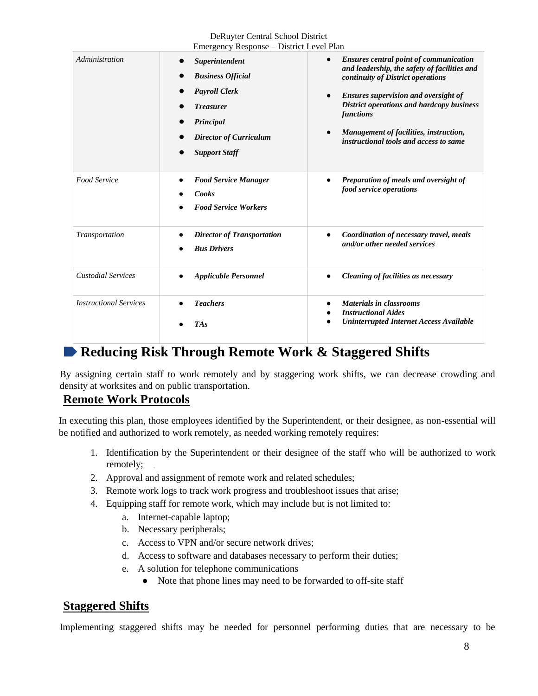| Administration                | Superintendent<br><b>Business Official</b><br><b>Payroll Clerk</b><br><b>Treasurer</b><br>Principal<br><b>Director of Curriculum</b><br><b>Support Staff</b> | <b>Ensures central point of communication</b><br>$\bullet$<br>and leadership, the safety of facilities and<br>continuity of District operations<br>Ensures supervision and oversight of<br>District operations and hardcopy business<br>functions<br>Management of facilities, instruction,<br>$\bullet$<br>instructional tools and access to same |
|-------------------------------|--------------------------------------------------------------------------------------------------------------------------------------------------------------|----------------------------------------------------------------------------------------------------------------------------------------------------------------------------------------------------------------------------------------------------------------------------------------------------------------------------------------------------|
| <b>Food Service</b>           | <b>Food Service Manager</b><br>Cooks<br><b>Food Service Workers</b>                                                                                          | Preparation of meals and oversight of<br>food service operations                                                                                                                                                                                                                                                                                   |
| Transportation                | <b>Director of Transportation</b><br><b>Bus Drivers</b>                                                                                                      | Coordination of necessary travel, meals<br>and/or other needed services                                                                                                                                                                                                                                                                            |
| <b>Custodial Services</b>     | <b>Applicable Personnel</b>                                                                                                                                  | <b>Cleaning of facilities as necessary</b>                                                                                                                                                                                                                                                                                                         |
| <b>Instructional Services</b> | <b>Teachers</b><br><b>TAs</b>                                                                                                                                | <b>Materials in classrooms</b><br><b>Instructional Aides</b><br><b>Uninterrupted Internet Access Available</b>                                                                                                                                                                                                                                     |

## <span id="page-37-0"></span>**Reducing Risk Through Remote Work & Staggered Shifts**

By assigning certain staff to work remotely and by staggering work shifts, we can decrease crowding and density at worksites and on public transportation.

## <span id="page-37-1"></span>**Remote Work Protocols**

In executing this plan, those employees identified by the Superintendent, or their designee, as non-essential will be notified and authorized to work remotely, as needed working remotely requires:

- 1. Identification by the Superintendent or their designee of the staff who will be authorized to work remotely;
- 2. Approval and assignment of remote work and related schedules;
- 3. Remote work logs to track work progress and troubleshoot issues that arise;
- 4. Equipping staff for remote work, which may include but is not limited to:
	- a. Internet-capable laptop;
	- b. Necessary peripherals;
	- c. Access to VPN and/or secure network drives;
	- d. Access to software and databases necessary to perform their duties;
	- e. A solution for telephone communications
		- Note that phone lines may need to be forwarded to off-site staff

## **Staggered Shifts**

Implementing staggered shifts may be needed for personnel performing duties that are necessary to be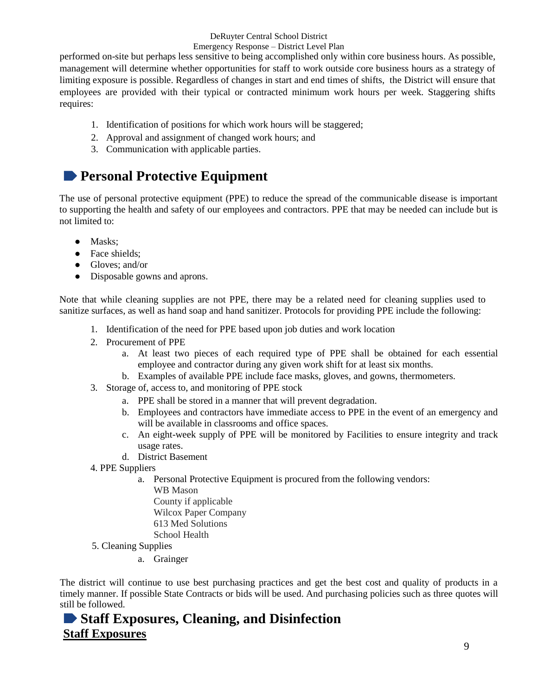### DeRuyter Central School District

#### Emergency Response – District Level Plan

performed on-site but perhaps less sensitive to being accomplished only within core business hours. As possible, management will determine whether opportunities for staff to work outside core business hours as a strategy of limiting exposure is possible. Regardless of changes in start and end times of shifts, the District will ensure that employees are provided with their typical or contracted minimum work hours per week. Staggering shifts requires:

- 1. Identification of positions for which work hours will be staggered;
- 2. Approval and assignment of changed work hours; and
- 3. Communication with applicable parties.

## <span id="page-38-0"></span>**Personal Protective Equipment**

The use of personal protective equipment (PPE) to reduce the spread of the communicable disease is important to supporting the health and safety of our employees and contractors. PPE that may be needed can include but is not limited to:

- Masks;
- Face shields:
- Gloves: and/or
- Disposable gowns and aprons.

Note that while cleaning supplies are not PPE, there may be a related need for cleaning supplies used to sanitize surfaces, as well as hand soap and hand sanitizer. Protocols for providing PPE include the following:

- 1. Identification of the need for PPE based upon job duties and work location
- 2. Procurement of PPE
	- a. At least two pieces of each required type of PPE shall be obtained for each essential employee and contractor during any given work shift for at least six months.
	- b. Examples of available PPE include face masks, gloves, and gowns, thermometers.
- 3. Storage of, access to, and monitoring of PPE stock
	- a. PPE shall be stored in a manner that will prevent degradation.
	- b. Employees and contractors have immediate access to PPE in the event of an emergency and will be available in classrooms and office spaces.
	- c. An eight-week supply of PPE will be monitored by Facilities to ensure integrity and track usage rates.
	- d. District Basement
- 4. PPE Suppliers
	- a. Personal Protective Equipment is procured from the following vendors:
		- WB Mason
			- County if applicable Wilcox Paper Company 613 Med Solutions School Health
- 5. Cleaning Supplies
	- a. Grainger

The district will continue to use best purchasing practices and get the best cost and quality of products in a timely manner. If possible State Contracts or bids will be used. And purchasing policies such as three quotes will still be followed.

## <span id="page-38-2"></span><span id="page-38-1"></span>**Staff Exposures, Cleaning, and Disinfection Staff Exposures**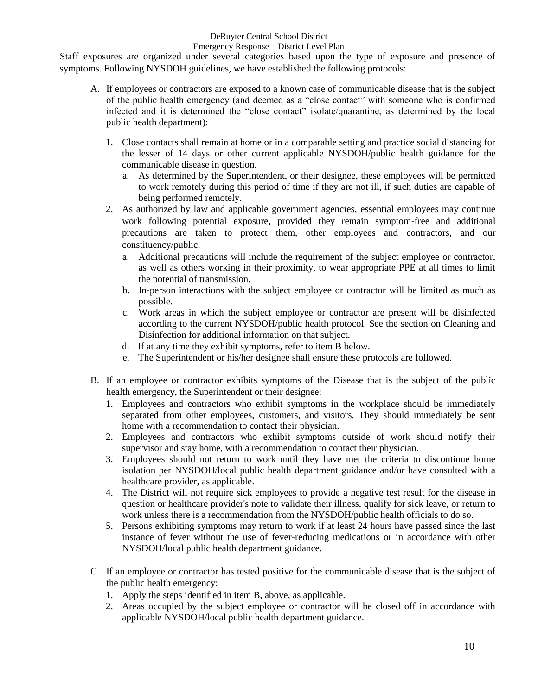#### DeRuyter Central School District

#### Emergency Response – District Level Plan

Staff exposures are organized under several categories based upon the type of exposure and presence of symptoms. Following NYSDOH guidelines, we have established the following protocols:

- A. If employees or contractors are exposed to a known case of communicable disease that is the subject of the public health emergency (and deemed as a "close contact" with someone who is confirmed infected and it is determined the "close contact" isolate/quarantine, as determined by the local public health department):
	- 1. Close contacts shall remain at home or in a comparable setting and practice social distancing for the lesser of 14 days or other current applicable NYSDOH/public health guidance for the communicable disease in question.
		- a. As determined by the Superintendent, or their designee, these employees will be permitted to work remotely during this period of time if they are not ill, if such duties are capable of being performed remotely.
	- 2. As authorized by law and applicable government agencies, essential employees may continue work following potential exposure, provided they remain symptom-free and additional precautions are taken to protect them, other employees and contractors, and our constituency/public.
		- a. Additional precautions will include the requirement of the subject employee or contractor, as well as others working in their proximity, to wear appropriate PPE at all times to limit the potential of transmission.
		- b. In-person interactions with the subject employee or contractor will be limited as much as possible.
		- c. Work areas in which the subject employee or contractor are present will be disinfected according to the current NYSDOH/public health protocol. See the section on Cleaning and Disinfection for additional information on that subject.
		- d. If at any time they exhibit symptoms, refer to item B below.
		- e. The Superintendent or his/her designee shall ensure these protocols are followed*.*
- B. If an employee or contractor exhibits symptoms of the Disease that is the subject of the public health emergency, the Superintendent or their designee:
	- 1. Employees and contractors who exhibit symptoms in the workplace should be immediately separated from other employees, customers, and visitors. They should immediately be sent home with a recommendation to contact their physician.
	- 2. Employees and contractors who exhibit symptoms outside of work should notify their supervisor and stay home, with a recommendation to contact their physician.
	- 3. Employees should not return to work until they have met the criteria to discontinue home isolation per NYSDOH/local public health department guidance and/or have consulted with a healthcare provider, as applicable.
	- 4. The District will not require sick employees to provide a negative test result for the disease in question or healthcare provider's note to validate their illness, qualify for sick leave, or return to work unless there is a recommendation from the NYSDOH/public health officials to do so.
	- 5. Persons exhibiting symptoms may return to work if at least 24 hours have passed since the last instance of fever without the use of fever-reducing medications or in accordance with other NYSDOH/local public health department guidance.
- C. If an employee or contractor has tested positive for the communicable disease that is the subject of the public health emergency:
	- 1. Apply the steps identified in item B, above, as applicable.
	- 2. Areas occupied by the subject employee or contractor will be closed off in accordance with applicable NYSDOH/local public health department guidance.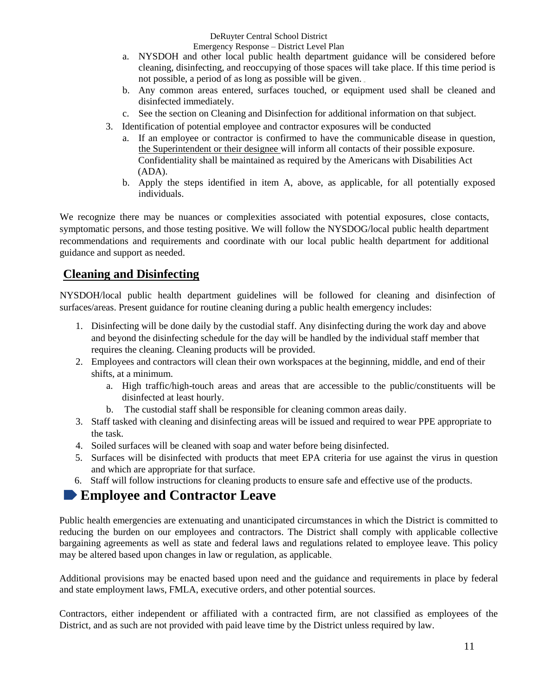DeRuyter Central School District

Emergency Response – District Level Plan

- a. NYSDOH and other local public health department guidance will be considered before cleaning, disinfecting, and reoccupying of those spaces will take place. If this time period is not possible, a period of as long as possible will be given.
- b. Any common areas entered, surfaces touched, or equipment used shall be cleaned and disinfected immediately.
- c. See the section on Cleaning and Disinfection for additional information on that subject.
- 3. Identification of potential employee and contractor exposures will be conducted
	- a. If an employee or contractor is confirmed to have the communicable disease in question, the Superintendent or their designee will inform all contacts of their possible exposure. Confidentiality shall be maintained as required by the Americans with Disabilities Act (ADA).
	- b. Apply the steps identified in item A, above, as applicable, for all potentially exposed individuals.

We recognize there may be nuances or complexities associated with potential exposures, close contacts, symptomatic persons, and those testing positive. We will follow the NYSDOG/local public health department recommendations and requirements and coordinate with our local public health department for additional guidance and support as needed.

## <span id="page-40-0"></span>**Cleaning and Disinfecting**

NYSDOH/local public health department guidelines will be followed for cleaning and disinfection of surfaces/areas. Present guidance for routine cleaning during a public health emergency includes:

- 1. Disinfecting will be done daily by the custodial staff. Any disinfecting during the work day and above and beyond the disinfecting schedule for the day will be handled by the individual staff member that requires the cleaning. Cleaning products will be provided.
- 2. Employees and contractors will clean their own workspaces at the beginning, middle, and end of their shifts, at a minimum.
	- a. High traffic/high-touch areas and areas that are accessible to the public/constituents will be disinfected at least hourly.
	- b. The custodial staff shall be responsible for cleaning common areas daily.
- 3. Staff tasked with cleaning and disinfecting areas will be issued and required to wear PPE appropriate to the task.
- 4. Soiled surfaces will be cleaned with soap and water before being disinfected.
- 5. Surfaces will be disinfected with products that meet EPA criteria for use against the virus in question and which are appropriate for that surface.
- 6. Staff will follow instructions for cleaning products to ensure safe and effective use of the products.

## <span id="page-40-1"></span>**Employee and Contractor Leave**

Public health emergencies are extenuating and unanticipated circumstances in which the District is committed to reducing the burden on our employees and contractors. The District shall comply with applicable collective bargaining agreements as well as state and federal laws and regulations related to employee leave. This policy may be altered based upon changes in law or regulation, as applicable.

Additional provisions may be enacted based upon need and the guidance and requirements in place by federal and state employment laws, FMLA, executive orders, and other potential sources.

Contractors, either independent or affiliated with a contracted firm, are not classified as employees of the District, and as such are not provided with paid leave time by the District unless required by law.